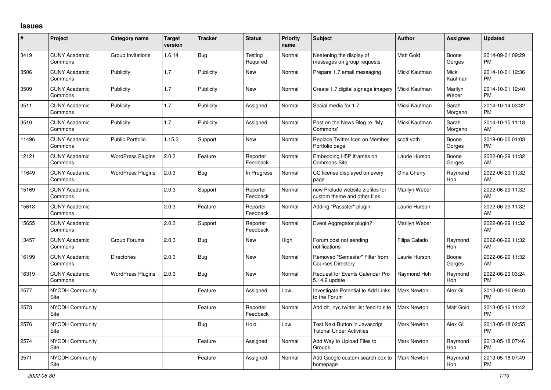## **Issues**

| #     | Project                         | <b>Category name</b>     | <b>Target</b><br>version | <b>Tracker</b> | <b>Status</b>        | <b>Priority</b><br>name | <b>Subject</b>                                                     | Author             | Assignee              | <b>Updated</b>                |
|-------|---------------------------------|--------------------------|--------------------------|----------------|----------------------|-------------------------|--------------------------------------------------------------------|--------------------|-----------------------|-------------------------------|
| 3419  | <b>CUNY Academic</b><br>Commons | Group Invitations        | 1.6.14                   | Bug            | Testing<br>Required  | Normal                  | Neatening the display of<br>messages on group requests             | Matt Gold          | Boone<br>Gorges       | 2014-09-01 09:29<br><b>PM</b> |
| 3506  | <b>CUNY Academic</b><br>Commons | Publicity                | 1.7                      | Publicity      | New                  | Normal                  | Prepare 1.7 email messaging                                        | Micki Kaufman      | Micki<br>Kaufman      | 2014-10-01 12:36<br><b>PM</b> |
| 3509  | <b>CUNY Academic</b><br>Commons | Publicity                | 1.7                      | Publicity      | New                  | Normal                  | Create 1.7 digital signage imagery                                 | Micki Kaufman      | Marilyn<br>Weber      | 2014-10-01 12:40<br><b>PM</b> |
| 3511  | <b>CUNY Academic</b><br>Commons | Publicity                | 1.7                      | Publicity      | Assigned             | Normal                  | Social media for 1.7                                               | Micki Kaufman      | Sarah<br>Morgano      | 2014-10-14 03:32<br><b>PM</b> |
| 3510  | <b>CUNY Academic</b><br>Commons | Publicity                | 1.7                      | Publicity      | Assigned             | Normal                  | Post on the News Blog re: 'My<br>Commons'                          | Micki Kaufman      | Sarah<br>Morgano      | 2014-10-15 11:18<br>AM        |
| 11496 | <b>CUNY Academic</b><br>Commons | <b>Public Portfolio</b>  | 1.15.2                   | Support        | New                  | Normal                  | Replace Twitter Icon on Member<br>Portfolio page                   | scott voth         | Boone<br>Gorges       | 2019-06-06 01:03<br><b>PM</b> |
| 12121 | <b>CUNY Academic</b><br>Commons | <b>WordPress Plugins</b> | 2.0.3                    | Feature        | Reporter<br>Feedback | Normal                  | Embedding H5P Iframes on<br>Commons Site                           | Laurie Hurson      | Boone<br>Gorges       | 2022-06-29 11:32<br>AM        |
| 11649 | <b>CUNY Academic</b><br>Commons | <b>WordPress Plugins</b> | 2.0.3                    | Bug            | In Progress          | Normal                  | CC license displayed on every<br>page                              | Gina Cherry        | Raymond<br><b>Hoh</b> | 2022-06-29 11:32<br>AM        |
| 15169 | <b>CUNY Academic</b><br>Commons |                          | 2.0.3                    | Support        | Reporter<br>Feedback | Normal                  | new Prelude website zipfiles for<br>custom theme and other files.  | Marilyn Weber      |                       | 2022-06-29 11:32<br>AM        |
| 15613 | <b>CUNY Academic</b><br>Commons |                          | 2.0.3                    | Feature        | Reporter<br>Feedback | Normal                  | Adding "Passster" plugin                                           | Laurie Hurson      |                       | 2022-06-29 11:32<br>AM        |
| 15655 | <b>CUNY Academic</b><br>Commons |                          | 2.0.3                    | Support        | Reporter<br>Feedback | Normal                  | Event Aggregator plugin?                                           | Marilyn Weber      |                       | 2022-06-29 11:32<br>AM        |
| 13457 | <b>CUNY Academic</b><br>Commons | Group Forums             | 2.0.3                    | Bug            | New                  | High                    | Forum post not sending<br>notifications                            | Filipa Calado      | Raymond<br><b>Hoh</b> | 2022-06-29 11:32<br>AM        |
| 16199 | <b>CUNY Academic</b><br>Commons | <b>Directories</b>       | 2.0.3                    | <b>Bug</b>     | <b>New</b>           | Normal                  | Removed "Semester" Filter from<br><b>Courses Directory</b>         | Laurie Hurson      | Boone<br>Gorges       | 2022-06-29 11:32<br>AM        |
| 16319 | <b>CUNY Academic</b><br>Commons | <b>WordPress Plugins</b> | 2.0.3                    | Bug            | <b>New</b>           | Normal                  | Request for Events Calendar Pro<br>5.14.2 update                   | Raymond Hoh        | Raymond<br><b>Hoh</b> | 2022-06-29 03:24<br><b>PM</b> |
| 2577  | <b>NYCDH Community</b><br>Site  |                          |                          | Feature        | Assigned             | Low                     | Investigate Potential to Add Links<br>to the Forum                 | <b>Mark Newton</b> | Alex Gil              | 2013-05-16 09:40<br><b>PM</b> |
| 2573  | <b>NYCDH Community</b><br>Site  |                          |                          | Feature        | Reporter<br>Feedback | Normal                  | Add dh nyc twitter list feed to site                               | <b>Mark Newton</b> | Matt Gold             | 2013-05-16 11:42<br><b>PM</b> |
| 2576  | <b>NYCDH Community</b><br>Site  |                          |                          | <b>Bug</b>     | Hold                 | Low                     | Test Next Button in Javascript<br><b>Tutorial Under Activities</b> | <b>Mark Newton</b> | Alex Gil              | 2013-05-18 02:55<br><b>PM</b> |
| 2574  | <b>NYCDH Community</b><br>Site  |                          |                          | Feature        | Assigned             | Normal                  | Add Way to Upload Files to<br>Groups                               | <b>Mark Newton</b> | Raymond<br>Hoh        | 2013-05-18 07:46<br><b>PM</b> |
| 2571  | NYCDH Community<br>Site         |                          |                          | Feature        | Assigned             | Normal                  | Add Google custom search box to<br>homepage                        | <b>Mark Newton</b> | Raymond<br>Hoh        | 2013-05-18 07:49<br><b>PM</b> |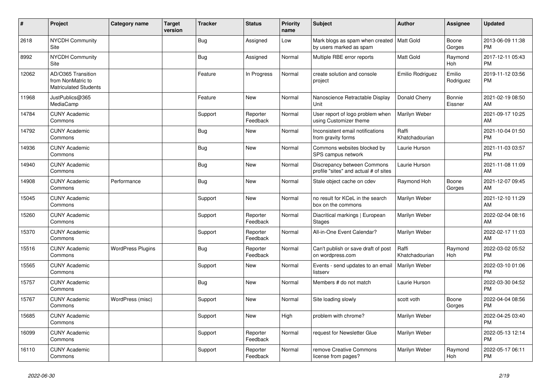| $\vert$ # | Project                                                                 | Category name            | <b>Target</b><br>version | <b>Tracker</b> | <b>Status</b>        | <b>Priority</b><br>name | <b>Subject</b>                                                         | <b>Author</b>           | Assignee            | <b>Updated</b>                |
|-----------|-------------------------------------------------------------------------|--------------------------|--------------------------|----------------|----------------------|-------------------------|------------------------------------------------------------------------|-------------------------|---------------------|-------------------------------|
| 2618      | <b>NYCDH Community</b><br>Site                                          |                          |                          | <b>Bug</b>     | Assigned             | Low                     | Mark blogs as spam when created   Matt Gold<br>by users marked as spam |                         | Boone<br>Gorges     | 2013-06-09 11:38<br><b>PM</b> |
| 8992      | <b>NYCDH Community</b><br>Site                                          |                          |                          | Bug            | Assigned             | Normal                  | Multiple RBE error reports                                             | <b>Matt Gold</b>        | Raymond<br>Hoh      | 2017-12-11 05:43<br><b>PM</b> |
| 12062     | AD/O365 Transition<br>from NonMatric to<br><b>Matriculated Students</b> |                          |                          | Feature        | In Progress          | Normal                  | create solution and console<br>project                                 | Emilio Rodriguez        | Emilio<br>Rodriguez | 2019-11-12 03:56<br><b>PM</b> |
| 11968     | JustPublics@365<br>MediaCamp                                            |                          |                          | Feature        | <b>New</b>           | Normal                  | Nanoscience Retractable Display<br>Unit                                | Donald Cherry           | Bonnie<br>Eissner   | 2021-02-19 08:50<br>AM        |
| 14784     | <b>CUNY Academic</b><br>Commons                                         |                          |                          | Support        | Reporter<br>Feedback | Normal                  | User report of logo problem when<br>using Customizer theme             | Marilyn Weber           |                     | 2021-09-17 10:25<br>AM        |
| 14792     | <b>CUNY Academic</b><br>Commons                                         |                          |                          | <b>Bug</b>     | <b>New</b>           | Normal                  | Inconsistent email notifications<br>from gravity forms                 | Raffi<br>Khatchadourian |                     | 2021-10-04 01:50<br><b>PM</b> |
| 14936     | <b>CUNY Academic</b><br>Commons                                         |                          |                          | Bug            | <b>New</b>           | Normal                  | Commons websites blocked by<br>SPS campus network                      | Laurie Hurson           |                     | 2021-11-03 03:57<br><b>PM</b> |
| 14940     | <b>CUNY Academic</b><br>Commons                                         |                          |                          | Bug            | <b>New</b>           | Normal                  | Discrepancy between Commons<br>profile "sites" and actual # of sites   | Laurie Hurson           |                     | 2021-11-08 11:09<br>AM        |
| 14908     | <b>CUNY Academic</b><br>Commons                                         | Performance              |                          | Bug            | <b>New</b>           | Normal                  | Stale object cache on cdev                                             | Raymond Hoh             | Boone<br>Gorges     | 2021-12-07 09:45<br>AM        |
| 15045     | <b>CUNY Academic</b><br>Commons                                         |                          |                          | Support        | <b>New</b>           | Normal                  | no result for KCeL in the search<br>box on the commons                 | Marilyn Weber           |                     | 2021-12-10 11:29<br>AM        |
| 15260     | <b>CUNY Academic</b><br>Commons                                         |                          |                          | Support        | Reporter<br>Feedback | Normal                  | Diacritical markings   European<br><b>Stages</b>                       | Marilyn Weber           |                     | 2022-02-04 08:16<br>AM        |
| 15370     | <b>CUNY Academic</b><br>Commons                                         |                          |                          | Support        | Reporter<br>Feedback | Normal                  | All-in-One Event Calendar?                                             | Marilyn Weber           |                     | 2022-02-17 11:03<br>AM        |
| 15516     | <b>CUNY Academic</b><br>Commons                                         | <b>WordPress Plugins</b> |                          | Bug            | Reporter<br>Feedback | Normal                  | Can't publish or save draft of post<br>on wordpress.com                | Raffi<br>Khatchadourian | Raymond<br>Hoh      | 2022-03-02 05:52<br><b>PM</b> |
| 15565     | <b>CUNY Academic</b><br>Commons                                         |                          |                          | Support        | <b>New</b>           | Normal                  | Events - send updates to an email<br>listserv                          | Marilyn Weber           |                     | 2022-03-10 01:06<br><b>PM</b> |
| 15757     | <b>CUNY Academic</b><br>Commons                                         |                          |                          | <b>Bug</b>     | <b>New</b>           | Normal                  | Members # do not match                                                 | Laurie Hurson           |                     | 2022-03-30 04:52<br><b>PM</b> |
| 15767     | <b>CUNY Academic</b><br>Commons                                         | WordPress (misc)         |                          | Support        | <b>New</b>           | Normal                  | Site loading slowly                                                    | scott voth              | Boone<br>Gorges     | 2022-04-04 08:56<br><b>PM</b> |
| 15685     | <b>CUNY Academic</b><br>Commons                                         |                          |                          | Support        | New                  | High                    | problem with chrome?                                                   | Marilyn Weber           |                     | 2022-04-25 03:40<br><b>PM</b> |
| 16099     | <b>CUNY Academic</b><br>Commons                                         |                          |                          | Support        | Reporter<br>Feedback | Normal                  | request for Newsletter Glue                                            | Marilyn Weber           |                     | 2022-05-13 12:14<br><b>PM</b> |
| 16110     | <b>CUNY Academic</b><br>Commons                                         |                          |                          | Support        | Reporter<br>Feedback | Normal                  | remove Creative Commons<br>license from pages?                         | Marilyn Weber           | Raymond<br>Hoh      | 2022-05-17 06:11<br><b>PM</b> |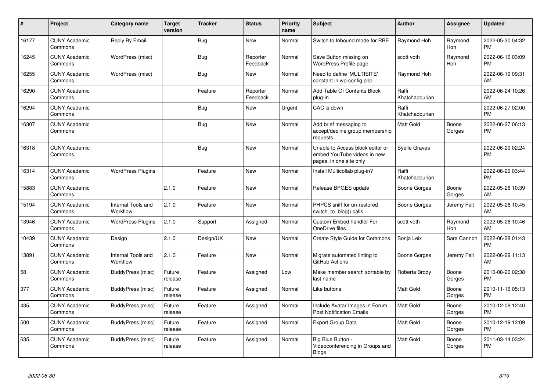| $\pmb{\sharp}$ | Project                         | Category name                  | <b>Target</b><br>version | <b>Tracker</b> | <b>Status</b>        | <b>Priority</b><br>name | <b>Subject</b>                                                                             | <b>Author</b>           | <b>Assignee</b>       | <b>Updated</b>                |
|----------------|---------------------------------|--------------------------------|--------------------------|----------------|----------------------|-------------------------|--------------------------------------------------------------------------------------------|-------------------------|-----------------------|-------------------------------|
| 16177          | <b>CUNY Academic</b><br>Commons | Reply By Email                 |                          | Bug            | <b>New</b>           | Normal                  | Switch to Inbound mode for RBE                                                             | Raymond Hoh             | Raymond<br>Hoh        | 2022-05-30 04:32<br><b>PM</b> |
| 16245          | <b>CUNY Academic</b><br>Commons | WordPress (misc)               |                          | Bug            | Reporter<br>Feedback | Normal                  | Save Button missing on<br>WordPress Profile page                                           | scott voth              | Raymond<br><b>Hoh</b> | 2022-06-16 03:09<br><b>PM</b> |
| 16255          | <b>CUNY Academic</b><br>Commons | WordPress (misc)               |                          | Bug            | <b>New</b>           | Normal                  | Need to define 'MULTISITE'<br>constant in wp-config.php                                    | Raymond Hoh             |                       | 2022-06-19 09:31<br>AM        |
| 16290          | <b>CUNY Academic</b><br>Commons |                                |                          | Feature        | Reporter<br>Feedback | Normal                  | Add Table Of Contents Block<br>plug-in                                                     | Raffi<br>Khatchadourian |                       | 2022-06-24 10:26<br>AM        |
| 16294          | <b>CUNY Academic</b><br>Commons |                                |                          | Bug            | New                  | Urgent                  | CAC is down                                                                                | Raffi<br>Khatchadourian |                       | 2022-06-27 02:00<br><b>PM</b> |
| 16307          | <b>CUNY Academic</b><br>Commons |                                |                          | Bug            | <b>New</b>           | Normal                  | Add brief messaging to<br>accept/decline group membership<br>requests                      | <b>Matt Gold</b>        | Boone<br>Gorges       | 2022-06-27 06:13<br><b>PM</b> |
| 16318          | <b>CUNY Academic</b><br>Commons |                                |                          | Bug            | <b>New</b>           | Normal                  | Unable to Access block editor or<br>embed YouTube videos in new<br>pages, in one site only | Syelle Graves           |                       | 2022-06-29 02:24<br><b>PM</b> |
| 16314          | <b>CUNY Academic</b><br>Commons | <b>WordPress Plugins</b>       |                          | Feature        | <b>New</b>           | Normal                  | Install Multicollab plug-in?                                                               | Raffi<br>Khatchadourian |                       | 2022-06-29 03:44<br><b>PM</b> |
| 15883          | <b>CUNY Academic</b><br>Commons |                                | 2.1.0                    | Feature        | New                  | Normal                  | Release BPGES update                                                                       | <b>Boone Gorges</b>     | Boone<br>Gorges       | 2022-05-26 10:39<br>AM        |
| 15194          | <b>CUNY Academic</b><br>Commons | Internal Tools and<br>Workflow | 2.1.0                    | Feature        | <b>New</b>           | Normal                  | PHPCS sniff for un-restored<br>switch to blog() calls                                      | Boone Gorges            | Jeremy Felt           | 2022-05-26 10:45<br>AM        |
| 13946          | <b>CUNY Academic</b><br>Commons | <b>WordPress Plugins</b>       | 2.1.0                    | Support        | Assigned             | Normal                  | Custom Embed handler For<br>OneDrive files                                                 | scott voth              | Raymond<br>Hoh        | 2022-05-26 10:46<br>AM        |
| 10439          | <b>CUNY Academic</b><br>Commons | Design                         | 2.1.0                    | Design/UX      | <b>New</b>           | Normal                  | <b>Create Style Guide for Commons</b>                                                      | Sonja Leix              | Sara Cannon           | 2022-06-28 01:43<br><b>PM</b> |
| 13891          | <b>CUNY Academic</b><br>Commons | Internal Tools and<br>Workflow | 2.1.0                    | Feature        | <b>New</b>           | Normal                  | Migrate automated linting to<br>GitHub Actions                                             | Boone Gorges            | Jeremy Felt           | 2022-06-29 11:13<br>AM        |
| 58             | <b>CUNY Academic</b><br>Commons | BuddyPress (misc)              | Future<br>release        | Feature        | Assigned             | Low                     | Make member search sortable by<br>last name                                                | Roberta Brody           | Boone<br>Gorges       | 2010-08-26 02:38<br><b>PM</b> |
| 377            | <b>CUNY Academic</b><br>Commons | <b>BuddyPress (misc)</b>       | Future<br>release        | Feature        | Assigned             | Normal                  | Like buttons                                                                               | <b>Matt Gold</b>        | Boone<br>Gorges       | 2010-11-16 05:13<br><b>PM</b> |
| 435            | <b>CUNY Academic</b><br>Commons | BuddyPress (misc)              | Future<br>release        | Feature        | Assigned             | Normal                  | Include Avatar Images in Forum<br><b>Post Notification Emails</b>                          | <b>Matt Gold</b>        | Boone<br>Gorges       | 2010-12-08 12:40<br><b>PM</b> |
| 500            | <b>CUNY Academic</b><br>Commons | BuddyPress (misc)              | Future<br>release        | Feature        | Assigned             | Normal                  | <b>Export Group Data</b>                                                                   | <b>Matt Gold</b>        | Boone<br>Gorges       | 2010-12-19 12:09<br><b>PM</b> |
| 635            | <b>CUNY Academic</b><br>Commons | BuddyPress (misc)              | Future<br>release        | Feature        | Assigned             | Normal                  | Big Blue Button -<br>Videoconferencing in Groups and<br>Blogs                              | Matt Gold               | Boone<br>Gorges       | 2011-03-14 03:24<br><b>PM</b> |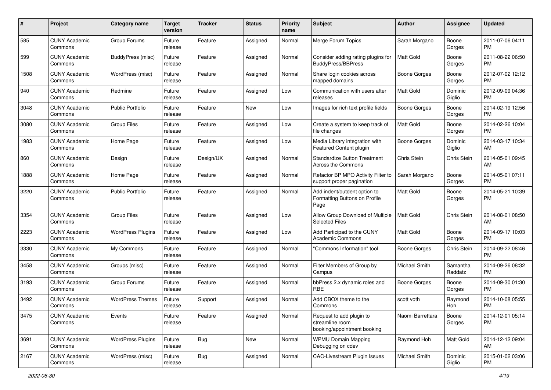| #    | Project                         | <b>Category name</b>     | <b>Target</b><br>version | Tracker    | <b>Status</b> | <b>Priority</b><br>name | <b>Subject</b>                                                             | Author              | <b>Assignee</b>     | <b>Updated</b>                |
|------|---------------------------------|--------------------------|--------------------------|------------|---------------|-------------------------|----------------------------------------------------------------------------|---------------------|---------------------|-------------------------------|
| 585  | <b>CUNY Academic</b><br>Commons | Group Forums             | Future<br>release        | Feature    | Assigned      | Normal                  | Merge Forum Topics                                                         | Sarah Morgano       | Boone<br>Gorges     | 2011-07-06 04:11<br>PM.       |
| 599  | <b>CUNY Academic</b><br>Commons | BuddyPress (misc)        | Future<br>release        | Feature    | Assigned      | Normal                  | Consider adding rating plugins for<br><b>BuddyPress/BBPress</b>            | <b>Matt Gold</b>    | Boone<br>Gorges     | 2011-08-22 06:50<br><b>PM</b> |
| 1508 | <b>CUNY Academic</b><br>Commons | WordPress (misc)         | Future<br>release        | Feature    | Assigned      | Normal                  | Share login cookies across<br>mapped domains                               | Boone Gorges        | Boone<br>Gorges     | 2012-07-02 12:12<br><b>PM</b> |
| 940  | <b>CUNY Academic</b><br>Commons | Redmine                  | Future<br>release        | Feature    | Assigned      | Low                     | Communication with users after<br>releases                                 | <b>Matt Gold</b>    | Dominic<br>Giglio   | 2012-09-09 04:36<br><b>PM</b> |
| 3048 | <b>CUNY Academic</b><br>Commons | <b>Public Portfolio</b>  | Future<br>release        | Feature    | New           | Low                     | Images for rich text profile fields                                        | Boone Gorges        | Boone<br>Gorges     | 2014-02-19 12:56<br><b>PM</b> |
| 3080 | <b>CUNY Academic</b><br>Commons | <b>Group Files</b>       | Future<br>release        | Feature    | Assigned      | Low                     | Create a system to keep track of<br>file changes                           | <b>Matt Gold</b>    | Boone<br>Gorges     | 2014-02-26 10:04<br><b>PM</b> |
| 1983 | <b>CUNY Academic</b><br>Commons | Home Page                | Future<br>release        | Feature    | Assigned      | Low                     | Media Library integration with<br>Featured Content plugin                  | Boone Gorges        | Dominic<br>Giglio   | 2014-03-17 10:34<br>AM        |
| 860  | <b>CUNY Academic</b><br>Commons | Design                   | Future<br>release        | Design/UX  | Assigned      | Normal                  | <b>Standardize Button Treatment</b><br>Across the Commons                  | Chris Stein         | Chris Stein         | 2014-05-01 09:45<br>AM        |
| 1888 | <b>CUNY Academic</b><br>Commons | Home Page                | Future<br>release        | Feature    | Assigned      | Normal                  | Refactor BP MPO Activity Filter to<br>support proper pagination            | Sarah Morgano       | Boone<br>Gorges     | 2014-05-01 07:11<br><b>PM</b> |
| 3220 | <b>CUNY Academic</b><br>Commons | <b>Public Portfolio</b>  | Future<br>release        | Feature    | Assigned      | Normal                  | Add indent/outdent option to<br>Formatting Buttons on Profile<br>Page      | Matt Gold           | Boone<br>Gorges     | 2014-05-21 10:39<br><b>PM</b> |
| 3354 | <b>CUNY Academic</b><br>Commons | <b>Group Files</b>       | Future<br>release        | Feature    | Assigned      | Low                     | Allow Group Download of Multiple<br>Selected Files                         | <b>Matt Gold</b>    | Chris Stein         | 2014-08-01 08:50<br>AM        |
| 2223 | CUNY Academic<br>Commons        | <b>WordPress Plugins</b> | Future<br>release        | Feature    | Assigned      | Low                     | Add Participad to the CUNY<br><b>Academic Commons</b>                      | <b>Matt Gold</b>    | Boone<br>Gorges     | 2014-09-17 10:03<br><b>PM</b> |
| 3330 | <b>CUNY Academic</b><br>Commons | My Commons               | Future<br>release        | Feature    | Assigned      | Normal                  | "Commons Information" tool                                                 | <b>Boone Gorges</b> | Chris Stein         | 2014-09-22 08:46<br><b>PM</b> |
| 3458 | <b>CUNY Academic</b><br>Commons | Groups (misc)            | Future<br>release        | Feature    | Assigned      | Normal                  | Filter Members of Group by<br>Campus                                       | Michael Smith       | Samantha<br>Raddatz | 2014-09-26 08:32<br><b>PM</b> |
| 3193 | <b>CUNY Academic</b><br>Commons | Group Forums             | Future<br>release        | Feature    | Assigned      | Normal                  | bbPress 2.x dynamic roles and<br><b>RBE</b>                                | <b>Boone Gorges</b> | Boone<br>Gorges     | 2014-09-30 01:30<br><b>PM</b> |
| 3492 | <b>CUNY Academic</b><br>Commons | <b>WordPress Themes</b>  | Future<br>release        | Support    | Assigned      | Normal                  | Add CBOX theme to the<br>Commons                                           | scott voth          | Raymond<br>Hoh      | 2014-10-08 05:55<br><b>PM</b> |
| 3475 | <b>CUNY Academic</b><br>Commons | Events                   | Future<br>release        | Feature    | Assigned      | Normal                  | Request to add plugin to<br>streamline room<br>booking/appointment booking | Naomi Barrettara    | Boone<br>Gorges     | 2014-12-01 05:14<br><b>PM</b> |
| 3691 | <b>CUNY Academic</b><br>Commons | <b>WordPress Plugins</b> | Future<br>release        | Bug        | New           | Normal                  | <b>WPMU Domain Mapping</b><br>Debugging on cdev                            | Raymond Hoh         | Matt Gold           | 2014-12-12 09:04<br>AM        |
| 2167 | <b>CUNY Academic</b><br>Commons | WordPress (misc)         | Future<br>release        | <b>Bug</b> | Assigned      | Normal                  | <b>CAC-Livestream Plugin Issues</b>                                        | Michael Smith       | Dominic<br>Giglio   | 2015-01-02 03:06<br><b>PM</b> |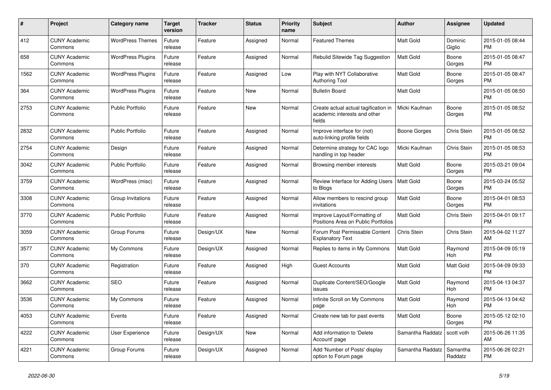| #    | <b>Project</b>                  | Category name            | <b>Target</b><br>version | <b>Tracker</b> | <b>Status</b> | <b>Priority</b><br>name | <b>Subject</b>                                                                 | <b>Author</b>    | Assignee            | <b>Updated</b>                |
|------|---------------------------------|--------------------------|--------------------------|----------------|---------------|-------------------------|--------------------------------------------------------------------------------|------------------|---------------------|-------------------------------|
| 412  | <b>CUNY Academic</b><br>Commons | <b>WordPress Themes</b>  | Future<br>release        | Feature        | Assigned      | Normal                  | <b>Featured Themes</b>                                                         | Matt Gold        | Dominic<br>Giglio   | 2015-01-05 08:44<br><b>PM</b> |
| 658  | <b>CUNY Academic</b><br>Commons | <b>WordPress Plugins</b> | Future<br>release        | Feature        | Assigned      | Normal                  | Rebulid Sitewide Tag Suggestion                                                | <b>Matt Gold</b> | Boone<br>Gorges     | 2015-01-05 08:47<br><b>PM</b> |
| 1562 | <b>CUNY Academic</b><br>Commons | <b>WordPress Plugins</b> | Future<br>release        | Feature        | Assigned      | Low                     | Play with NYT Collaborative<br><b>Authoring Tool</b>                           | Matt Gold        | Boone<br>Gorges     | 2015-01-05 08:47<br><b>PM</b> |
| 364  | <b>CUNY Academic</b><br>Commons | <b>WordPress Plugins</b> | Future<br>release        | Feature        | New           | Normal                  | <b>Bulletin Board</b>                                                          | <b>Matt Gold</b> |                     | 2015-01-05 08:50<br><b>PM</b> |
| 2753 | <b>CUNY Academic</b><br>Commons | <b>Public Portfolio</b>  | Future<br>release        | Feature        | New           | Normal                  | Create actual actual tagification in<br>academic interests and other<br>fields | Micki Kaufman    | Boone<br>Gorges     | 2015-01-05 08:52<br><b>PM</b> |
| 2832 | <b>CUNY Academic</b><br>Commons | <b>Public Portfolio</b>  | Future<br>release        | Feature        | Assigned      | Normal                  | Improve interface for (not)<br>auto-linking profile fields                     | Boone Gorges     | Chris Stein         | 2015-01-05 08:52<br><b>PM</b> |
| 2754 | <b>CUNY Academic</b><br>Commons | Design                   | Future<br>release        | Feature        | Assigned      | Normal                  | Determine strategy for CAC logo<br>handling in top header                      | Micki Kaufman    | Chris Stein         | 2015-01-05 08:53<br><b>PM</b> |
| 3042 | <b>CUNY Academic</b><br>Commons | <b>Public Portfolio</b>  | Future<br>release        | Feature        | Assigned      | Normal                  | Browsing member interests                                                      | Matt Gold        | Boone<br>Gorges     | 2015-03-21 09:04<br><b>PM</b> |
| 3759 | <b>CUNY Academic</b><br>Commons | WordPress (misc)         | Future<br>release        | Feature        | Assigned      | Normal                  | Review Interface for Adding Users<br>to Blogs                                  | Matt Gold        | Boone<br>Gorges     | 2015-03-24 05:52<br><b>PM</b> |
| 3308 | <b>CUNY Academic</b><br>Commons | Group Invitations        | Future<br>release        | Feature        | Assigned      | Normal                  | Allow members to rescind group<br>invitations                                  | <b>Matt Gold</b> | Boone<br>Gorges     | 2015-04-01 08:53<br><b>PM</b> |
| 3770 | <b>CUNY Academic</b><br>Commons | <b>Public Portfolio</b>  | Future<br>release        | Feature        | Assigned      | Normal                  | Improve Layout/Formatting of<br>Positions Area on Public Portfolios            | <b>Matt Gold</b> | Chris Stein         | 2015-04-01 09:17<br><b>PM</b> |
| 3059 | <b>CUNY Academic</b><br>Commons | Group Forums             | Future<br>release        | Design/UX      | New           | Normal                  | Forum Post Permissable Content<br><b>Explanatory Text</b>                      | Chris Stein      | Chris Stein         | 2015-04-02 11:27<br>AM        |
| 3577 | <b>CUNY Academic</b><br>Commons | My Commons               | Future<br>release        | Design/UX      | Assigned      | Normal                  | Replies to items in My Commons                                                 | <b>Matt Gold</b> | Raymond<br>Hoh      | 2015-04-09 05:19<br><b>PM</b> |
| 370  | <b>CUNY Academic</b><br>Commons | Registration             | Future<br>release        | Feature        | Assigned      | High                    | <b>Guest Accounts</b>                                                          | <b>Matt Gold</b> | Matt Gold           | 2015-04-09 09:33<br><b>PM</b> |
| 3662 | <b>CUNY Academic</b><br>Commons | <b>SEO</b>               | Future<br>release        | Feature        | Assigned      | Normal                  | Duplicate Content/SEO/Google<br>issues                                         | <b>Matt Gold</b> | Raymond<br>Hoh      | 2015-04-13 04:37<br><b>PM</b> |
| 3536 | <b>CUNY Academic</b><br>Commons | My Commons               | Future<br>release        | Feature        | Assigned      | Normal                  | Infinite Scroll on My Commons<br>page                                          | <b>Matt Gold</b> | Raymond<br>Hoh      | 2015-04-13 04:42<br><b>PM</b> |
| 4053 | <b>CUNY Academic</b><br>Commons | Events                   | Future<br>release        | Feature        | Assigned      | Normal                  | Create new tab for past events                                                 | Matt Gold        | Boone<br>Gorges     | 2015-05-12 02:10<br><b>PM</b> |
| 4222 | <b>CUNY Academic</b><br>Commons | User Experience          | Future<br>release        | Design/UX      | New           | Normal                  | Add information to 'Delete<br>Account' page                                    | Samantha Raddatz | scott voth          | 2015-06-26 11:35<br>AM        |
| 4221 | <b>CUNY Academic</b><br>Commons | Group Forums             | Future<br>release        | Design/UX      | Assigned      | Normal                  | Add 'Number of Posts' display<br>option to Forum page                          | Samantha Raddatz | Samantha<br>Raddatz | 2015-06-26 02:21<br><b>PM</b> |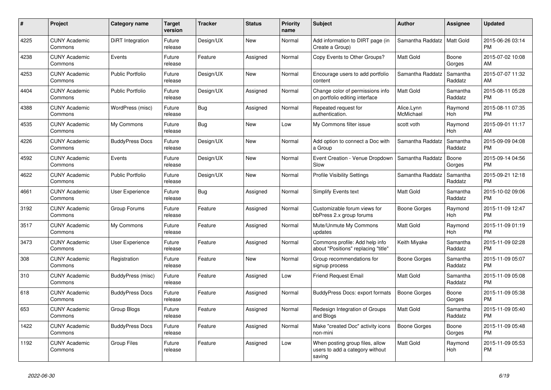| #    | <b>Project</b>                  | Category name           | <b>Target</b><br>version | <b>Tracker</b> | <b>Status</b> | <b>Priority</b><br>name | <b>Subject</b>                                                               | <b>Author</b>           | Assignee              | <b>Updated</b>                |
|------|---------------------------------|-------------------------|--------------------------|----------------|---------------|-------------------------|------------------------------------------------------------------------------|-------------------------|-----------------------|-------------------------------|
| 4225 | <b>CUNY Academic</b><br>Commons | DiRT Integration        | Future<br>release        | Design/UX      | <b>New</b>    | Normal                  | Add information to DIRT page (in<br>Create a Group)                          | Samantha Raddatz        | <b>Matt Gold</b>      | 2015-06-26 03:14<br><b>PM</b> |
| 4238 | <b>CUNY Academic</b><br>Commons | Events                  | Future<br>release        | Feature        | Assigned      | Normal                  | Copy Events to Other Groups?                                                 | Matt Gold               | Boone<br>Gorges       | 2015-07-02 10:08<br>AM        |
| 4253 | <b>CUNY Academic</b><br>Commons | <b>Public Portfolio</b> | Future<br>release        | Design/UX      | New           | Normal                  | Encourage users to add portfolio<br>content                                  | Samantha Raddatz        | Samantha<br>Raddatz   | 2015-07-07 11:32<br>AM        |
| 4404 | <b>CUNY Academic</b><br>Commons | <b>Public Portfolio</b> | Future<br>release        | Design/UX      | Assigned      | Normal                  | Change color of permissions info<br>on portfolio editing interface           | <b>Matt Gold</b>        | Samantha<br>Raddatz   | 2015-08-11 05:28<br><b>PM</b> |
| 4388 | <b>CUNY Academic</b><br>Commons | WordPress (misc)        | Future<br>release        | Bug            | Assigned      | Normal                  | Repeated request for<br>authentication.                                      | Alice.Lynn<br>McMichael | Raymond<br>Hoh        | 2015-08-11 07:35<br><b>PM</b> |
| 4535 | <b>CUNY Academic</b><br>Commons | My Commons              | Future<br>release        | Bug            | New           | Low                     | My Commons filter issue                                                      | scott voth              | Raymond<br><b>Hoh</b> | 2015-09-01 11:17<br>AM        |
| 4226 | <b>CUNY Academic</b><br>Commons | <b>BuddyPress Docs</b>  | Future<br>release        | Design/UX      | <b>New</b>    | Normal                  | Add option to connect a Doc with<br>a Group                                  | Samantha Raddatz        | Samantha<br>Raddatz   | 2015-09-09 04:08<br><b>PM</b> |
| 4592 | <b>CUNY Academic</b><br>Commons | Events                  | Future<br>release        | Design/UX      | <b>New</b>    | Normal                  | Event Creation - Venue Dropdown<br>Slow                                      | Samantha Raddatz        | Boone<br>Gorges       | 2015-09-14 04:56<br><b>PM</b> |
| 4622 | <b>CUNY Academic</b><br>Commons | <b>Public Portfolio</b> | Future<br>release        | Design/UX      | New           | Normal                  | <b>Profile Visibility Settings</b>                                           | Samantha Raddatz        | Samantha<br>Raddatz   | 2015-09-21 12:18<br><b>PM</b> |
| 4661 | <b>CUNY Academic</b><br>Commons | <b>User Experience</b>  | Future<br>release        | Bug            | Assigned      | Normal                  | Simplify Events text                                                         | <b>Matt Gold</b>        | Samantha<br>Raddatz   | 2015-10-02 09:06<br><b>PM</b> |
| 3192 | <b>CUNY Academic</b><br>Commons | Group Forums            | Future<br>release        | Feature        | Assigned      | Normal                  | Customizable forum views for<br>bbPress 2.x group forums                     | Boone Gorges            | Raymond<br>Hoh        | 2015-11-09 12:47<br><b>PM</b> |
| 3517 | <b>CUNY Academic</b><br>Commons | My Commons              | Future<br>release        | Feature        | Assigned      | Normal                  | Mute/Unmute My Commons<br>updates                                            | Matt Gold               | Raymond<br>Hoh        | 2015-11-09 01:19<br><b>PM</b> |
| 3473 | <b>CUNY Academic</b><br>Commons | <b>User Experience</b>  | Future<br>release        | Feature        | Assigned      | Normal                  | Commons profile: Add help info<br>about "Positions" replacing "title"        | Keith Miyake            | Samantha<br>Raddatz   | 2015-11-09 02:28<br><b>PM</b> |
| 308  | <b>CUNY Academic</b><br>Commons | Registration            | Future<br>release        | Feature        | <b>New</b>    | Normal                  | Group recommendations for<br>signup process                                  | Boone Gorges            | Samantha<br>Raddatz   | 2015-11-09 05:07<br><b>PM</b> |
| 310  | <b>CUNY Academic</b><br>Commons | BuddyPress (misc)       | Future<br>release        | Feature        | Assigned      | Low                     | <b>Friend Request Email</b>                                                  | Matt Gold               | Samantha<br>Raddatz   | 2015-11-09 05:08<br><b>PM</b> |
| 618  | <b>CUNY Academic</b><br>Commons | <b>BuddyPress Docs</b>  | Future<br>release        | Feature        | Assigned      | Normal                  | <b>BuddyPress Docs: export formats</b>                                       | <b>Boone Gorges</b>     | Boone<br>Gorges       | 2015-11-09 05:38<br><b>PM</b> |
| 653  | <b>CUNY Academic</b><br>Commons | Group Blogs             | Future<br>release        | Feature        | Assigned      | Normal                  | Redesign Integration of Groups<br>and Blogs                                  | <b>Matt Gold</b>        | Samantha<br>Raddatz   | 2015-11-09 05:40<br><b>PM</b> |
| 1422 | <b>CUNY Academic</b><br>Commons | <b>BuddyPress Docs</b>  | Future<br>release        | Feature        | Assigned      | Normal                  | Make "created Doc" activity icons<br>non-mini                                | <b>Boone Gorges</b>     | Boone<br>Gorges       | 2015-11-09 05:48<br><b>PM</b> |
| 1192 | <b>CUNY Academic</b><br>Commons | <b>Group Files</b>      | Future<br>release        | Feature        | Assigned      | Low                     | When posting group files, allow<br>users to add a category without<br>saving | Matt Gold               | Raymond<br>Hoh        | 2015-11-09 05:53<br><b>PM</b> |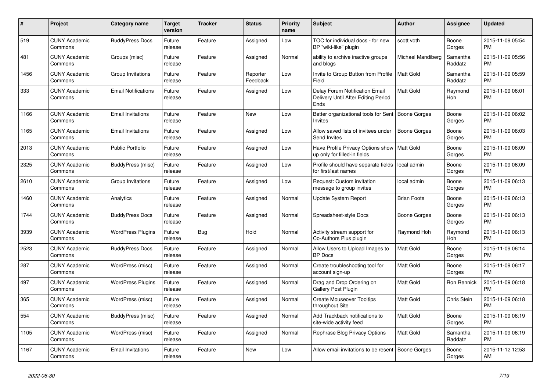| #    | Project                         | Category name              | <b>Target</b><br>version | <b>Tracker</b> | <b>Status</b>        | <b>Priority</b><br>name | <b>Subject</b>                                                                | <b>Author</b>       | Assignee            | <b>Updated</b>                |
|------|---------------------------------|----------------------------|--------------------------|----------------|----------------------|-------------------------|-------------------------------------------------------------------------------|---------------------|---------------------|-------------------------------|
| 519  | <b>CUNY Academic</b><br>Commons | <b>BuddyPress Docs</b>     | Future<br>release        | Feature        | Assigned             | Low                     | TOC for individual docs - for new<br>BP "wiki-like" plugin                    | scott voth          | Boone<br>Gorges     | 2015-11-09 05:54<br><b>PM</b> |
| 481  | <b>CUNY Academic</b><br>Commons | Groups (misc)              | Future<br>release        | Feature        | Assigned             | Normal                  | ability to archive inactive groups<br>and blogs                               | Michael Mandiberg   | Samantha<br>Raddatz | 2015-11-09 05:56<br><b>PM</b> |
| 1456 | <b>CUNY Academic</b><br>Commons | Group Invitations          | Future<br>release        | Feature        | Reporter<br>Feedback | Low                     | Invite to Group Button from Profile<br>Field                                  | <b>Matt Gold</b>    | Samantha<br>Raddatz | 2015-11-09 05:59<br><b>PM</b> |
| 333  | <b>CUNY Academic</b><br>Commons | <b>Email Notifications</b> | Future<br>release        | Feature        | Assigned             | Low                     | Delay Forum Notification Email<br>Delivery Until After Editing Period<br>Ends | <b>Matt Gold</b>    | Raymond<br>Hoh      | 2015-11-09 06:01<br><b>PM</b> |
| 1166 | <b>CUNY Academic</b><br>Commons | <b>Email Invitations</b>   | Future<br>release        | Feature        | New                  | Low                     | Better organizational tools for Sent   Boone Gorges<br><b>Invites</b>         |                     | Boone<br>Gorges     | 2015-11-09 06:02<br><b>PM</b> |
| 1165 | <b>CUNY Academic</b><br>Commons | <b>Email Invitations</b>   | Future<br>release        | Feature        | Assigned             | Low                     | Allow saved lists of invitees under<br>Send Invites                           | Boone Gorges        | Boone<br>Gorges     | 2015-11-09 06:03<br><b>PM</b> |
| 2013 | <b>CUNY Academic</b><br>Commons | <b>Public Portfolio</b>    | Future<br>release        | Feature        | Assigned             | Low                     | Have Profile Privacy Options show<br>up only for filled-in fields             | <b>Matt Gold</b>    | Boone<br>Gorges     | 2015-11-09 06:09<br><b>PM</b> |
| 2325 | <b>CUNY Academic</b><br>Commons | BuddyPress (misc)          | Future<br>release        | Feature        | Assigned             | Low                     | Profile should have separate fields<br>for first/last names                   | local admin         | Boone<br>Gorges     | 2015-11-09 06:09<br><b>PM</b> |
| 2610 | <b>CUNY Academic</b><br>Commons | Group Invitations          | Future<br>release        | Feature        | Assigned             | Low                     | Request: Custom invitation<br>message to group invites                        | local admin         | Boone<br>Gorges     | 2015-11-09 06:13<br><b>PM</b> |
| 1460 | <b>CUNY Academic</b><br>Commons | Analytics                  | Future<br>release        | Feature        | Assigned             | Normal                  | Update System Report                                                          | <b>Brian Foote</b>  | Boone<br>Gorges     | 2015-11-09 06:13<br><b>PM</b> |
| 1744 | <b>CUNY Academic</b><br>Commons | <b>BuddyPress Docs</b>     | Future<br>release        | Feature        | Assigned             | Normal                  | Spreadsheet-style Docs                                                        | <b>Boone Gorges</b> | Boone<br>Gorges     | 2015-11-09 06:13<br><b>PM</b> |
| 3939 | <b>CUNY Academic</b><br>Commons | <b>WordPress Plugins</b>   | Future<br>release        | Bug            | Hold                 | Normal                  | Activity stream support for<br>Co-Authors Plus plugin                         | Raymond Hoh         | Raymond<br>Hoh      | 2015-11-09 06:13<br><b>PM</b> |
| 2523 | <b>CUNY Academic</b><br>Commons | <b>BuddyPress Docs</b>     | Future<br>release        | Feature        | Assigned             | Normal                  | Allow Users to Upload Images to<br><b>BP</b> Docs                             | <b>Matt Gold</b>    | Boone<br>Gorges     | 2015-11-09 06:14<br><b>PM</b> |
| 287  | <b>CUNY Academic</b><br>Commons | WordPress (misc)           | Future<br>release        | Feature        | Assigned             | Normal                  | Create troubleshooting tool for<br>account sign-up                            | Matt Gold           | Boone<br>Gorges     | 2015-11-09 06:17<br><b>PM</b> |
| 497  | <b>CUNY Academic</b><br>Commons | <b>WordPress Plugins</b>   | Future<br>release        | Feature        | Assigned             | Normal                  | Drag and Drop Ordering on<br>Gallery Post Plugin                              | Matt Gold           | Ron Rennick         | 2015-11-09 06:18<br><b>PM</b> |
| 365  | <b>CUNY Academic</b><br>Commons | WordPress (misc)           | Future<br>release        | Feature        | Assigned             | Normal                  | <b>Create Mouseover Tooltips</b><br>throughout Site                           | Matt Gold           | Chris Stein         | 2015-11-09 06:18<br><b>PM</b> |
| 554  | <b>CUNY Academic</b><br>Commons | BuddyPress (misc)          | Future<br>release        | Feature        | Assigned             | Normal                  | Add Trackback notifications to<br>site-wide activity feed                     | <b>Matt Gold</b>    | Boone<br>Gorges     | 2015-11-09 06:19<br><b>PM</b> |
| 1105 | <b>CUNY Academic</b><br>Commons | WordPress (misc)           | Future<br>release        | Feature        | Assigned             | Normal                  | Rephrase Blog Privacy Options                                                 | <b>Matt Gold</b>    | Samantha<br>Raddatz | 2015-11-09 06:19<br><b>PM</b> |
| 1167 | <b>CUNY Academic</b><br>Commons | <b>Email Invitations</b>   | Future<br>release        | Feature        | <b>New</b>           | Low                     | Allow email invitations to be resent   Boone Gorges                           |                     | Boone<br>Gorges     | 2015-11-12 12:53<br>AM        |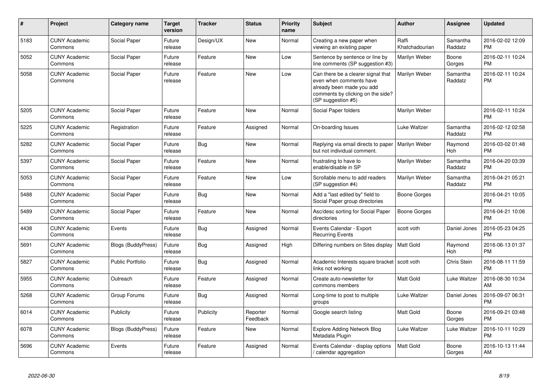| #    | Project                         | <b>Category name</b>      | <b>Target</b><br>version | <b>Tracker</b> | <b>Status</b>        | <b>Priority</b><br>name | <b>Subject</b>                                                                                                                                        | <b>Author</b>           | <b>Assignee</b>     | <b>Updated</b>                |
|------|---------------------------------|---------------------------|--------------------------|----------------|----------------------|-------------------------|-------------------------------------------------------------------------------------------------------------------------------------------------------|-------------------------|---------------------|-------------------------------|
| 5183 | <b>CUNY Academic</b><br>Commons | Social Paper              | Future<br>release        | Design/UX      | <b>New</b>           | Normal                  | Creating a new paper when<br>viewing an existing paper                                                                                                | Raffi<br>Khatchadourian | Samantha<br>Raddatz | 2016-02-02 12:09<br><b>PM</b> |
| 5052 | <b>CUNY Academic</b><br>Commons | Social Paper              | Future<br>release        | Feature        | <b>New</b>           | Low                     | Sentence by sentence or line by<br>line comments (SP suggestion #3)                                                                                   | Marilyn Weber           | Boone<br>Gorges     | 2016-02-11 10:24<br><b>PM</b> |
| 5058 | <b>CUNY Academic</b><br>Commons | Social Paper              | Future<br>release        | Feature        | New                  | Low                     | Can there be a clearer signal that<br>even when comments have<br>already been made you add<br>comments by clicking on the side?<br>(SP suggestion #5) | Marilyn Weber           | Samantha<br>Raddatz | 2016-02-11 10:24<br><b>PM</b> |
| 5205 | <b>CUNY Academic</b><br>Commons | Social Paper              | Future<br>release        | Feature        | <b>New</b>           | Normal                  | Social Paper folders                                                                                                                                  | Marilyn Weber           |                     | 2016-02-11 10:24<br><b>PM</b> |
| 5225 | <b>CUNY Academic</b><br>Commons | Registration              | Future<br>release        | Feature        | Assigned             | Normal                  | On-boarding Issues                                                                                                                                    | Luke Waltzer            | Samantha<br>Raddatz | 2016-02-12 02:58<br><b>PM</b> |
| 5282 | <b>CUNY Academic</b><br>Commons | Social Paper              | Future<br>release        | Bug            | New                  | Normal                  | Replying via email directs to paper<br>but not individual comment.                                                                                    | Marilyn Weber           | Raymond<br>Hoh      | 2016-03-02 01:48<br><b>PM</b> |
| 5397 | <b>CUNY Academic</b><br>Commons | Social Paper              | Future<br>release        | Feature        | New                  | Normal                  | frustrating to have to<br>enable/disable in SP                                                                                                        | Marilyn Weber           | Samantha<br>Raddatz | 2016-04-20 03:39<br><b>PM</b> |
| 5053 | <b>CUNY Academic</b><br>Commons | Social Paper              | Future<br>release        | Feature        | <b>New</b>           | Low                     | Scrollable menu to add readers<br>(SP suggestion #4)                                                                                                  | Marilyn Weber           | Samantha<br>Raddatz | 2016-04-21 05:21<br><b>PM</b> |
| 5488 | <b>CUNY Academic</b><br>Commons | Social Paper              | Future<br>release        | Bug            | <b>New</b>           | Normal                  | Add a "last edited by" field to<br>Social Paper group directories                                                                                     | Boone Gorges            |                     | 2016-04-21 10:05<br><b>PM</b> |
| 5489 | <b>CUNY Academic</b><br>Commons | Social Paper              | Future<br>release        | Feature        | <b>New</b>           | Normal                  | Asc/desc sorting for Social Paper<br>directories                                                                                                      | Boone Gorges            |                     | 2016-04-21 10:06<br><b>PM</b> |
| 4438 | <b>CUNY Academic</b><br>Commons | Events                    | Future<br>release        | <b>Bug</b>     | Assigned             | Normal                  | Events Calendar - Export<br><b>Recurring Events</b>                                                                                                   | scott voth              | Daniel Jones        | 2016-05-23 04:25<br><b>PM</b> |
| 5691 | <b>CUNY Academic</b><br>Commons | <b>Blogs (BuddyPress)</b> | Future<br>release        | Bug            | Assigned             | High                    | Differing numbers on Sites display                                                                                                                    | <b>Matt Gold</b>        | Raymond<br>Hoh      | 2016-06-13 01:37<br><b>PM</b> |
| 5827 | <b>CUNY Academic</b><br>Commons | <b>Public Portfolio</b>   | Future<br>release        | Bug            | Assigned             | Normal                  | Academic Interests square bracket   scott voth<br>links not working                                                                                   |                         | Chris Stein         | 2016-08-11 11:59<br><b>PM</b> |
| 5955 | <b>CUNY Academic</b><br>Commons | Outreach                  | Future<br>release        | Feature        | Assigned             | Normal                  | Create auto-newsletter for<br>commons members                                                                                                         | <b>Matt Gold</b>        | Luke Waltzer        | 2016-08-30 10:34<br>AM        |
| 5268 | <b>CUNY Academic</b><br>Commons | Group Forums              | Future<br>release        | Bug            | Assigned             | Normal                  | Long-time to post to multiple<br>groups                                                                                                               | Luke Waltzer            | Daniel Jones        | 2016-09-07 06:31<br><b>PM</b> |
| 6014 | <b>CUNY Academic</b><br>Commons | Publicity                 | Future<br>release        | Publicity      | Reporter<br>Feedback | Normal                  | Google search listing                                                                                                                                 | <b>Matt Gold</b>        | Boone<br>Gorges     | 2016-09-21 03:48<br><b>PM</b> |
| 6078 | <b>CUNY Academic</b><br>Commons | Blogs (BuddyPress)        | Future<br>release        | Feature        | New                  | Normal                  | <b>Explore Adding Network Blog</b><br>Metadata Plugin                                                                                                 | Luke Waltzer            | Luke Waltzer        | 2016-10-11 10:29<br><b>PM</b> |
| 5696 | <b>CUNY Academic</b><br>Commons | Events                    | Future<br>release        | Feature        | Assigned             | Normal                  | Events Calendar - display options<br>/ calendar aggregation                                                                                           | <b>Matt Gold</b>        | Boone<br>Gorges     | 2016-10-13 11:44<br>AM        |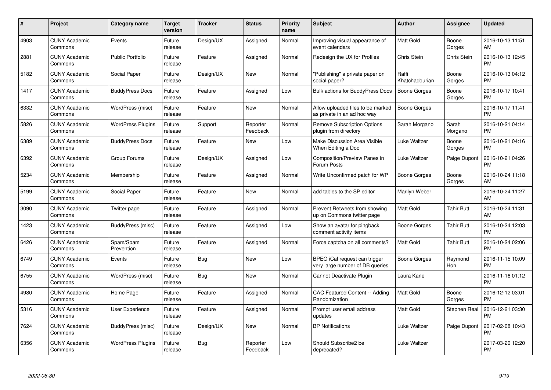| $\#$ | Project                         | <b>Category name</b>     | Target<br>version | <b>Tracker</b> | <b>Status</b>        | Priority<br>name | <b>Subject</b>                                                   | <b>Author</b>           | <b>Assignee</b>    | <b>Updated</b>                |
|------|---------------------------------|--------------------------|-------------------|----------------|----------------------|------------------|------------------------------------------------------------------|-------------------------|--------------------|-------------------------------|
| 4903 | <b>CUNY Academic</b><br>Commons | Events                   | Future<br>release | Design/UX      | Assigned             | Normal           | Improving visual appearance of<br>event calendars                | <b>Matt Gold</b>        | Boone<br>Gorges    | 2016-10-13 11:51<br>AM        |
| 2881 | <b>CUNY Academic</b><br>Commons | <b>Public Portfolio</b>  | Future<br>release | Feature        | Assigned             | Normal           | Redesign the UX for Profiles                                     | Chris Stein             | <b>Chris Stein</b> | 2016-10-13 12:45<br><b>PM</b> |
| 5182 | <b>CUNY Academic</b><br>Commons | Social Paper             | Future<br>release | Design/UX      | <b>New</b>           | Normal           | "Publishing" a private paper on<br>social paper?                 | Raffi<br>Khatchadourian | Boone<br>Gorges    | 2016-10-13 04:12<br><b>PM</b> |
| 1417 | <b>CUNY Academic</b><br>Commons | <b>BuddyPress Docs</b>   | Future<br>release | Feature        | Assigned             | Low              | Bulk actions for BuddyPress Docs                                 | <b>Boone Gorges</b>     | Boone<br>Gorges    | 2016-10-17 10:41<br><b>PM</b> |
| 6332 | <b>CUNY Academic</b><br>Commons | WordPress (misc)         | Future<br>release | Feature        | <b>New</b>           | Normal           | Allow uploaded files to be marked<br>as private in an ad hoc way | Boone Gorges            |                    | 2016-10-17 11:41<br><b>PM</b> |
| 5826 | <b>CUNY Academic</b><br>Commons | <b>WordPress Plugins</b> | Future<br>release | Support        | Reporter<br>Feedback | Normal           | <b>Remove Subscription Options</b><br>plugin from directory      | Sarah Morgano           | Sarah<br>Morgano   | 2016-10-21 04:14<br><b>PM</b> |
| 6389 | <b>CUNY Academic</b><br>Commons | <b>BuddyPress Docs</b>   | Future<br>release | Feature        | <b>New</b>           | Low              | <b>Make Discussion Area Visible</b><br>When Editing a Doc        | Luke Waltzer            | Boone<br>Gorges    | 2016-10-21 04:16<br><b>PM</b> |
| 6392 | <b>CUNY Academic</b><br>Commons | Group Forums             | Future<br>release | Design/UX      | Assigned             | Low              | Composition/Preview Panes in<br>Forum Posts                      | Luke Waltzer            | Paige Dupont       | 2016-10-21 04:26<br><b>PM</b> |
| 5234 | <b>CUNY Academic</b><br>Commons | Membership               | Future<br>release | Feature        | Assigned             | Normal           | Write Unconfirmed patch for WP                                   | Boone Gorges            | Boone<br>Gorges    | 2016-10-24 11:18<br>AM        |
| 5199 | <b>CUNY Academic</b><br>Commons | Social Paper             | Future<br>release | Feature        | <b>New</b>           | Normal           | add tables to the SP editor                                      | Marilyn Weber           |                    | 2016-10-24 11:27<br>AM        |
| 3090 | <b>CUNY Academic</b><br>Commons | Twitter page             | Future<br>release | Feature        | Assigned             | Normal           | Prevent Retweets from showing<br>up on Commons twitter page      | Matt Gold               | Tahir Butt         | 2016-10-24 11:31<br>AM        |
| 1423 | <b>CUNY Academic</b><br>Commons | BuddyPress (misc)        | Future<br>release | Feature        | Assigned             | Low              | Show an avatar for pingback<br>comment activity items            | Boone Gorges            | <b>Tahir Butt</b>  | 2016-10-24 12:03<br><b>PM</b> |
| 6426 | <b>CUNY Academic</b><br>Commons | Spam/Spam<br>Prevention  | Future<br>release | Feature        | Assigned             | Normal           | Force captcha on all comments?                                   | <b>Matt Gold</b>        | <b>Tahir Butt</b>  | 2016-10-24 02:06<br><b>PM</b> |
| 6749 | <b>CUNY Academic</b><br>Commons | Events                   | Future<br>release | Bug            | New                  | Low              | BPEO iCal request can trigger<br>very large number of DB queries | <b>Boone Gorges</b>     | Raymond<br>Hoh     | 2016-11-15 10:09<br><b>PM</b> |
| 6755 | <b>CUNY Academic</b><br>Commons | WordPress (misc)         | Future<br>release | <b>Bug</b>     | <b>New</b>           | Normal           | Cannot Deactivate Plugin                                         | Laura Kane              |                    | 2016-11-16 01:12<br><b>PM</b> |
| 4980 | <b>CUNY Academic</b><br>Commons | Home Page                | Future<br>release | Feature        | Assigned             | Normal           | CAC Featured Content -- Adding<br>Randomization                  | Matt Gold               | Boone<br>Gorges    | 2016-12-12 03:01<br><b>PM</b> |
| 5316 | <b>CUNY Academic</b><br>Commons | User Experience          | Future<br>release | Feature        | Assigned             | Normal           | Prompt user email address<br>updates                             | <b>Matt Gold</b>        | Stephen Real       | 2016-12-21 03:30<br><b>PM</b> |
| 7624 | <b>CUNY Academic</b><br>Commons | BuddyPress (misc)        | Future<br>release | Design/UX      | New                  | Normal           | <b>BP Notifications</b>                                          | Luke Waltzer            | Paige Dupont       | 2017-02-08 10:43<br><b>PM</b> |
| 6356 | <b>CUNY Academic</b><br>Commons | <b>WordPress Plugins</b> | Future<br>release | <b>Bug</b>     | Reporter<br>Feedback | Low              | Should Subscribe2 be<br>deprecated?                              | Luke Waltzer            |                    | 2017-03-20 12:20<br><b>PM</b> |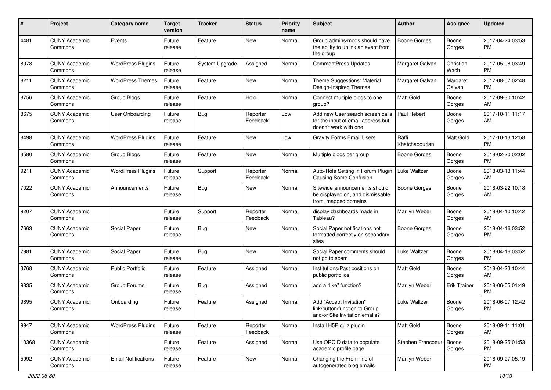| $\#$  | Project                         | <b>Category name</b>       | <b>Target</b><br>version | <b>Tracker</b> | <b>Status</b>        | <b>Priority</b><br>name | <b>Subject</b>                                                                                  | Author                  | <b>Assignee</b>     | <b>Updated</b>                |
|-------|---------------------------------|----------------------------|--------------------------|----------------|----------------------|-------------------------|-------------------------------------------------------------------------------------------------|-------------------------|---------------------|-------------------------------|
| 4481  | <b>CUNY Academic</b><br>Commons | Events                     | Future<br>release        | Feature        | New                  | Normal                  | Group admins/mods should have<br>the ability to unlink an event from<br>the group               | <b>Boone Gorges</b>     | Boone<br>Gorges     | 2017-04-24 03:53<br><b>PM</b> |
| 8078  | <b>CUNY Academic</b><br>Commons | <b>WordPress Plugins</b>   | Future<br>release        | System Upgrade | Assigned             | Normal                  | <b>CommentPress Updates</b>                                                                     | Margaret Galvan         | Christian<br>Wach   | 2017-05-08 03:49<br><b>PM</b> |
| 8211  | <b>CUNY Academic</b><br>Commons | <b>WordPress Themes</b>    | Future<br>release        | Feature        | New                  | Normal                  | Theme Suggestions: Material<br>Design-Inspired Themes                                           | Margaret Galvan         | Margaret<br>Galvan  | 2017-08-07 02:48<br><b>PM</b> |
| 8756  | <b>CUNY Academic</b><br>Commons | Group Blogs                | Future<br>release        | Feature        | Hold                 | Normal                  | Connect multiple blogs to one<br>group?                                                         | Matt Gold               | Boone<br>Gorges     | 2017-09-30 10:42<br>AM        |
| 8675  | <b>CUNY Academic</b><br>Commons | User Onboarding            | Future<br>release        | Bug            | Reporter<br>Feedback | Low                     | Add new User search screen calls<br>for the input of email address but<br>doesn't work with one | Paul Hebert             | Boone<br>Gorges     | 2017-10-11 11:17<br>AM        |
| 8498  | <b>CUNY Academic</b><br>Commons | <b>WordPress Plugins</b>   | Future<br>release        | Feature        | <b>New</b>           | Low                     | <b>Gravity Forms Email Users</b>                                                                | Raffi<br>Khatchadourian | Matt Gold           | 2017-10-13 12:58<br><b>PM</b> |
| 3580  | <b>CUNY Academic</b><br>Commons | Group Blogs                | Future<br>release        | Feature        | <b>New</b>           | Normal                  | Multiple blogs per group                                                                        | <b>Boone Gorges</b>     | Boone<br>Gorges     | 2018-02-20 02:02<br><b>PM</b> |
| 9211  | <b>CUNY Academic</b><br>Commons | <b>WordPress Plugins</b>   | Future<br>release        | Support        | Reporter<br>Feedback | Normal                  | Auto-Role Setting in Forum Plugin<br><b>Causing Some Confusion</b>                              | Luke Waltzer            | Boone<br>Gorges     | 2018-03-13 11:44<br>AM        |
| 7022  | <b>CUNY Academic</b><br>Commons | Announcements              | Future<br>release        | Bug            | New                  | Normal                  | Sitewide announcements should<br>be displayed on, and dismissable<br>from, mapped domains       | Boone Gorges            | Boone<br>Gorges     | 2018-03-22 10:18<br>AM        |
| 9207  | <b>CUNY Academic</b><br>Commons |                            | Future<br>release        | Support        | Reporter<br>Feedback | Normal                  | display dashboards made in<br>Tableau?                                                          | Marilyn Weber           | Boone<br>Gorges     | 2018-04-10 10:42<br>AM        |
| 7663  | <b>CUNY Academic</b><br>Commons | Social Paper               | Future<br>release        | Bug            | New                  | Normal                  | Social Paper notifications not<br>formatted correctly on secondary<br>sites                     | <b>Boone Gorges</b>     | Boone<br>Gorges     | 2018-04-16 03:52<br><b>PM</b> |
| 7981  | <b>CUNY Academic</b><br>Commons | Social Paper               | Future<br>release        | Bug            | <b>New</b>           | Normal                  | Social Paper comments should<br>not go to spam                                                  | Luke Waltzer            | Boone<br>Gorges     | 2018-04-16 03:52<br><b>PM</b> |
| 3768  | <b>CUNY Academic</b><br>Commons | Public Portfolio           | Future<br>release        | Feature        | Assigned             | Normal                  | Institutions/Past positions on<br>public portfolios                                             | <b>Matt Gold</b>        | Boone<br>Gorges     | 2018-04-23 10:44<br>AM        |
| 9835  | <b>CUNY Academic</b><br>Commons | Group Forums               | Future<br>release        | Bug            | Assigned             | Normal                  | add a "like" function?                                                                          | Marilyn Weber           | <b>Erik Trainer</b> | 2018-06-05 01:49<br><b>PM</b> |
| 9895  | <b>CUNY Academic</b><br>Commons | Onboarding                 | Future<br>release        | Feature        | Assigned             | Normal                  | Add "Accept Invitation"<br>link/button/function to Group<br>and/or Site invitation emails?      | Luke Waltzer            | Boone<br>Gorges     | 2018-06-07 12:42<br><b>PM</b> |
| 9947  | <b>CUNY Academic</b><br>Commons | <b>WordPress Plugins</b>   | Future<br>release        | Feature        | Reporter<br>Feedback | Normal                  | Install H5P quiz plugin                                                                         | Matt Gold               | Boone<br>Gorges     | 2018-09-11 11:01<br>AM        |
| 10368 | <b>CUNY Academic</b><br>Commons |                            | Future<br>release        | Feature        | Assigned             | Normal                  | Use ORCID data to populate<br>academic profile page                                             | Stephen Francoeur       | Boone<br>Gorges     | 2018-09-25 01:53<br>PM.       |
| 5992  | <b>CUNY Academic</b><br>Commons | <b>Email Notifications</b> | Future<br>release        | Feature        | New                  | Normal                  | Changing the From line of<br>autogenerated blog emails                                          | Marilyn Weber           |                     | 2018-09-27 05:19<br>PM        |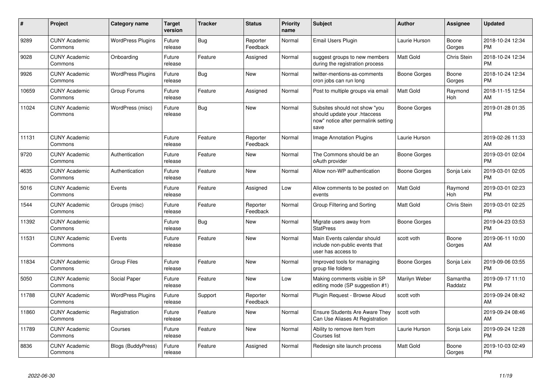| #     | Project                         | Category name            | <b>Target</b><br>version | <b>Tracker</b> | <b>Status</b>        | <b>Priority</b><br>name | <b>Subject</b>                                                                                               | <b>Author</b>    | Assignee            | <b>Updated</b>                |
|-------|---------------------------------|--------------------------|--------------------------|----------------|----------------------|-------------------------|--------------------------------------------------------------------------------------------------------------|------------------|---------------------|-------------------------------|
| 9289  | <b>CUNY Academic</b><br>Commons | <b>WordPress Plugins</b> | Future<br>release        | Bug            | Reporter<br>Feedback | Normal                  | Email Users Plugin                                                                                           | Laurie Hurson    | Boone<br>Gorges     | 2018-10-24 12:34<br><b>PM</b> |
| 9028  | <b>CUNY Academic</b><br>Commons | Onboarding               | Future<br>release        | Feature        | Assigned             | Normal                  | suggest groups to new members<br>during the registration process                                             | <b>Matt Gold</b> | Chris Stein         | 2018-10-24 12:34<br><b>PM</b> |
| 9926  | <b>CUNY Academic</b><br>Commons | <b>WordPress Plugins</b> | Future<br>release        | <b>Bug</b>     | <b>New</b>           | Normal                  | twitter-mentions-as-comments<br>cron jobs can run long                                                       | Boone Gorges     | Boone<br>Gorges     | 2018-10-24 12:34<br><b>PM</b> |
| 10659 | <b>CUNY Academic</b><br>Commons | Group Forums             | Future<br>release        | Feature        | Assigned             | Normal                  | Post to multiple groups via email                                                                            | <b>Matt Gold</b> | Raymond<br>Hoh      | 2018-11-15 12:54<br>AM        |
| 11024 | <b>CUNY Academic</b><br>Commons | WordPress (misc)         | Future<br>release        | Bug            | New                  | Normal                  | Subsites should not show "you<br>should update your .htaccess<br>now" notice after permalink setting<br>save | Boone Gorges     |                     | 2019-01-28 01:35<br><b>PM</b> |
| 11131 | <b>CUNY Academic</b><br>Commons |                          | Future<br>release        | Feature        | Reporter<br>Feedback | Normal                  | <b>Image Annotation Plugins</b>                                                                              | Laurie Hurson    |                     | 2019-02-26 11:33<br>AM        |
| 9720  | <b>CUNY Academic</b><br>Commons | Authentication           | Future<br>release        | Feature        | <b>New</b>           | Normal                  | The Commons should be an<br>oAuth provider                                                                   | Boone Gorges     |                     | 2019-03-01 02:04<br><b>PM</b> |
| 4635  | <b>CUNY Academic</b><br>Commons | Authentication           | Future<br>release        | Feature        | New                  | Normal                  | Allow non-WP authentication                                                                                  | Boone Gorges     | Sonja Leix          | 2019-03-01 02:05<br><b>PM</b> |
| 5016  | <b>CUNY Academic</b><br>Commons | Events                   | Future<br>release        | Feature        | Assigned             | Low                     | Allow comments to be posted on<br>events                                                                     | <b>Matt Gold</b> | Raymond<br>Hoh      | 2019-03-01 02:23<br><b>PM</b> |
| 1544  | <b>CUNY Academic</b><br>Commons | Groups (misc)            | Future<br>release        | Feature        | Reporter<br>Feedback | Normal                  | Group Filtering and Sorting                                                                                  | <b>Matt Gold</b> | Chris Stein         | 2019-03-01 02:25<br><b>PM</b> |
| 11392 | <b>CUNY Academic</b><br>Commons |                          | Future<br>release        | Bug            | <b>New</b>           | Normal                  | Migrate users away from<br><b>StatPress</b>                                                                  | Boone Gorges     |                     | 2019-04-23 03:53<br><b>PM</b> |
| 11531 | <b>CUNY Academic</b><br>Commons | Events                   | Future<br>release        | Feature        | <b>New</b>           | Normal                  | Main Events calendar should<br>include non-public events that<br>user has access to                          | scott voth       | Boone<br>Gorges     | 2019-06-11 10:00<br>AM        |
| 11834 | <b>CUNY Academic</b><br>Commons | <b>Group Files</b>       | Future<br>release        | Feature        | <b>New</b>           | Normal                  | Improved tools for managing<br>group file folders                                                            | Boone Gorges     | Sonja Leix          | 2019-09-06 03:55<br><b>PM</b> |
| 5050  | <b>CUNY Academic</b><br>Commons | Social Paper             | Future<br>release        | Feature        | <b>New</b>           | Low                     | Making comments visible in SP<br>editing mode (SP suggestion #1)                                             | Marilyn Weber    | Samantha<br>Raddatz | 2019-09-17 11:10<br><b>PM</b> |
| 11788 | <b>CUNY Academic</b><br>Commons | <b>WordPress Plugins</b> | Future<br>release        | Support        | Reporter<br>Feedback | Normal                  | Plugin Request - Browse Aloud                                                                                | scott voth       |                     | 2019-09-24 08:42<br>AM        |
| 11860 | <b>CUNY Academic</b><br>Commons | Registration             | Future<br>release        | Feature        | <b>New</b>           | Normal                  | <b>Ensure Students Are Aware They</b><br>Can Use Aliases At Registration                                     | scott voth       |                     | 2019-09-24 08:46<br>AM        |
| 11789 | <b>CUNY Academic</b><br>Commons | Courses                  | Future<br>release        | Feature        | <b>New</b>           | Normal                  | Ability to remove item from<br>Courses list                                                                  | Laurie Hurson    | Sonja Leix          | 2019-09-24 12:28<br><b>PM</b> |
| 8836  | <b>CUNY Academic</b><br>Commons | Blogs (BuddyPress)       | Future<br>release        | Feature        | Assigned             | Normal                  | Redesign site launch process                                                                                 | <b>Matt Gold</b> | Boone<br>Gorges     | 2019-10-03 02:49<br><b>PM</b> |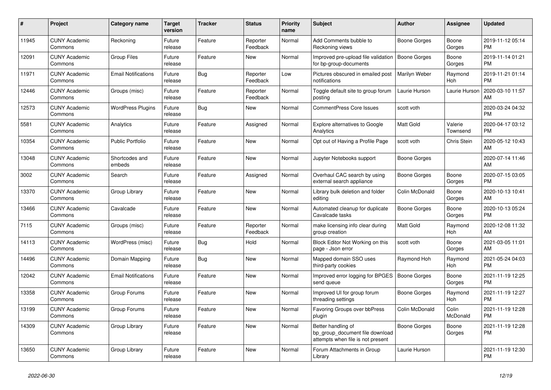| #     | <b>Project</b>                  | Category name              | Target<br>version | <b>Tracker</b> | <b>Status</b>        | <b>Priority</b><br>name | <b>Subject</b>                                                                             | <b>Author</b>  | Assignee            | <b>Updated</b>                |
|-------|---------------------------------|----------------------------|-------------------|----------------|----------------------|-------------------------|--------------------------------------------------------------------------------------------|----------------|---------------------|-------------------------------|
| 11945 | <b>CUNY Academic</b><br>Commons | Reckoning                  | Future<br>release | Feature        | Reporter<br>Feedback | Normal                  | Add Comments bubble to<br>Reckoning views                                                  | Boone Gorges   | Boone<br>Gorges     | 2019-11-12 05:14<br><b>PM</b> |
| 12091 | <b>CUNY Academic</b><br>Commons | <b>Group Files</b>         | Future<br>release | Feature        | New                  | Normal                  | Improved pre-upload file validation<br>for bp-group-documents                              | Boone Gorges   | Boone<br>Gorges     | 2019-11-14 01:21<br><b>PM</b> |
| 11971 | <b>CUNY Academic</b><br>Commons | <b>Email Notifications</b> | Future<br>release | Bug            | Reporter<br>Feedback | Low                     | Pictures obscured in emailed post<br>notifications                                         | Marilyn Weber  | Raymond<br>Hoh      | 2019-11-21 01:14<br><b>PM</b> |
| 12446 | <b>CUNY Academic</b><br>Commons | Groups (misc)              | Future<br>release | Feature        | Reporter<br>Feedback | Normal                  | Toggle default site to group forum<br>posting                                              | Laurie Hurson  | Laurie Hurson       | 2020-03-10 11:57<br>AM        |
| 12573 | <b>CUNY Academic</b><br>Commons | <b>WordPress Plugins</b>   | Future<br>release | Bug            | New                  | Normal                  | CommentPress Core Issues                                                                   | scott voth     |                     | 2020-03-24 04:32<br><b>PM</b> |
| 5581  | <b>CUNY Academic</b><br>Commons | Analytics                  | Future<br>release | Feature        | Assigned             | Normal                  | <b>Explore alternatives to Google</b><br>Analytics                                         | Matt Gold      | Valerie<br>Townsend | 2020-04-17 03:12<br><b>PM</b> |
| 10354 | <b>CUNY Academic</b><br>Commons | <b>Public Portfolio</b>    | Future<br>release | Feature        | <b>New</b>           | Normal                  | Opt out of Having a Profile Page                                                           | scott voth     | Chris Stein         | 2020-05-12 10:43<br>AM        |
| 13048 | <b>CUNY Academic</b><br>Commons | Shortcodes and<br>embeds   | Future<br>release | Feature        | New                  | Normal                  | Jupyter Notebooks support                                                                  | Boone Gorges   |                     | 2020-07-14 11:46<br>AM.       |
| 3002  | <b>CUNY Academic</b><br>Commons | Search                     | Future<br>release | Feature        | Assigned             | Normal                  | Overhaul CAC search by using<br>external search appliance                                  | Boone Gorges   | Boone<br>Gorges     | 2020-07-15 03:05<br><b>PM</b> |
| 13370 | <b>CUNY Academic</b><br>Commons | Group Library              | Future<br>release | Feature        | <b>New</b>           | Normal                  | Library bulk deletion and folder<br>editing                                                | Colin McDonald | Boone<br>Gorges     | 2020-10-13 10:41<br>AM        |
| 13466 | <b>CUNY Academic</b><br>Commons | Cavalcade                  | Future<br>release | Feature        | New                  | Normal                  | Automated cleanup for duplicate<br>Cavalcade tasks                                         | Boone Gorges   | Boone<br>Gorges     | 2020-10-13 05:24<br>PM        |
| 7115  | <b>CUNY Academic</b><br>Commons | Groups (misc)              | Future<br>release | Feature        | Reporter<br>Feedback | Normal                  | make licensing info clear during<br>group creation                                         | Matt Gold      | Raymond<br>Hoh      | 2020-12-08 11:32<br><b>AM</b> |
| 14113 | <b>CUNY Academic</b><br>Commons | WordPress (misc)           | Future<br>release | Bug            | Hold                 | Normal                  | Block Editor Not Working on this<br>page - Json error                                      | scott voth     | Boone<br>Gorges     | 2021-03-05 11:01<br>AM        |
| 14496 | <b>CUNY Academic</b><br>Commons | Domain Mapping             | Future<br>release | Bug            | <b>New</b>           | Normal                  | Mapped domain SSO uses<br>third-party cookies                                              | Raymond Hoh    | Raymond<br>Hoh      | 2021-05-24 04:03<br>PM        |
| 12042 | <b>CUNY Academic</b><br>Commons | <b>Email Notifications</b> | Future<br>release | Feature        | <b>New</b>           | Normal                  | Improved error logging for BPGES<br>send queue                                             | Boone Gorges   | Boone<br>Gorges     | 2021-11-19 12:25<br><b>PM</b> |
| 13358 | <b>CUNY Academic</b><br>Commons | Group Forums               | Future<br>release | Feature        | New                  | Normal                  | Improved UI for group forum<br>threading settings                                          | Boone Gorges   | Raymond<br>Hoh      | 2021-11-19 12:27<br><b>PM</b> |
| 13199 | <b>CUNY Academic</b><br>Commons | Group Forums               | Future<br>release | Feature        | <b>New</b>           | Normal                  | Favoring Groups over bbPress<br>plugin                                                     | Colin McDonald | Colin<br>McDonald   | 2021-11-19 12:28<br><b>PM</b> |
| 14309 | <b>CUNY Academic</b><br>Commons | Group Library              | Future<br>release | Feature        | New                  | Normal                  | Better handling of<br>bp_group_document file download<br>attempts when file is not present | Boone Gorges   | Boone<br>Gorges     | 2021-11-19 12:28<br><b>PM</b> |
| 13650 | <b>CUNY Academic</b><br>Commons | Group Library              | Future<br>release | Feature        | <b>New</b>           | Normal                  | Forum Attachments in Group<br>Library                                                      | Laurie Hurson  |                     | 2021-11-19 12:30<br><b>PM</b> |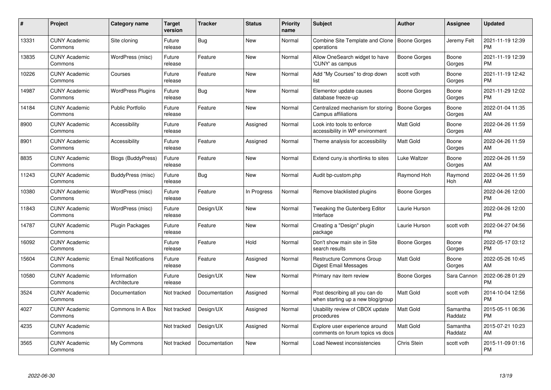| #     | Project                         | <b>Category name</b>        | Target<br>version | <b>Tracker</b> | <b>Status</b> | Priority<br>name | <b>Subject</b>                                                      | <b>Author</b>       | <b>Assignee</b>     | <b>Updated</b>                |
|-------|---------------------------------|-----------------------------|-------------------|----------------|---------------|------------------|---------------------------------------------------------------------|---------------------|---------------------|-------------------------------|
| 13331 | <b>CUNY Academic</b><br>Commons | Site cloning                | Future<br>release | Bug            | <b>New</b>    | Normal           | Combine Site Template and Clone<br>operations                       | Boone Gorges        | Jeremy Felt         | 2021-11-19 12:39<br><b>PM</b> |
| 13835 | <b>CUNY Academic</b><br>Commons | WordPress (misc)            | Future<br>release | Feature        | <b>New</b>    | Normal           | Allow OneSearch widget to have<br>'CUNY' as campus                  | Boone Gorges        | Boone<br>Gorges     | 2021-11-19 12:39<br><b>PM</b> |
| 10226 | <b>CUNY Academic</b><br>Commons | Courses                     | Future<br>release | Feature        | <b>New</b>    | Normal           | Add "My Courses" to drop down<br>list                               | scott voth          | Boone<br>Gorges     | 2021-11-19 12:42<br><b>PM</b> |
| 14987 | <b>CUNY Academic</b><br>Commons | <b>WordPress Plugins</b>    | Future<br>release | Bug            | <b>New</b>    | Normal           | Elementor update causes<br>database freeze-up                       | Boone Gorges        | Boone<br>Gorges     | 2021-11-29 12:02<br><b>PM</b> |
| 14184 | <b>CUNY Academic</b><br>Commons | <b>Public Portfolio</b>     | Future<br>release | Feature        | <b>New</b>    | Normal           | Centralized mechanism for storing<br>Campus affiliations            | <b>Boone Gorges</b> | Boone<br>Gorges     | 2022-01-04 11:35<br>AM        |
| 8900  | <b>CUNY Academic</b><br>Commons | Accessibility               | Future<br>release | Feature        | Assigned      | Normal           | Look into tools to enforce<br>accessibility in WP environment       | Matt Gold           | Boone<br>Gorges     | 2022-04-26 11:59<br>AM.       |
| 8901  | <b>CUNY Academic</b><br>Commons | Accessibility               | Future<br>release | Feature        | Assigned      | Normal           | Theme analysis for accessibility                                    | Matt Gold           | Boone<br>Gorges     | 2022-04-26 11:59<br>AM        |
| 8835  | <b>CUNY Academic</b><br>Commons | <b>Blogs (BuddyPress)</b>   | Future<br>release | Feature        | <b>New</b>    | Normal           | Extend cuny is shortlinks to sites                                  | Luke Waltzer        | Boone<br>Gorges     | 2022-04-26 11:59<br>AM        |
| 11243 | <b>CUNY Academic</b><br>Commons | BuddyPress (misc)           | Future<br>release | <b>Bug</b>     | New           | Normal           | Audit bp-custom.php                                                 | Raymond Hoh         | Raymond<br>Hoh      | 2022-04-26 11:59<br>AM        |
| 10380 | <b>CUNY Academic</b><br>Commons | WordPress (misc)            | Future<br>release | Feature        | In Progress   | Normal           | Remove blacklisted plugins                                          | Boone Gorges        |                     | 2022-04-26 12:00<br>PM        |
| 11843 | <b>CUNY Academic</b><br>Commons | WordPress (misc)            | Future<br>release | Design/UX      | New           | Normal           | Tweaking the Gutenberg Editor<br>Interface                          | Laurie Hurson       |                     | 2022-04-26 12:00<br><b>PM</b> |
| 14787 | <b>CUNY Academic</b><br>Commons | <b>Plugin Packages</b>      | Future<br>release | Feature        | New           | Normal           | Creating a "Design" plugin<br>package                               | Laurie Hurson       | scott voth          | 2022-04-27 04:56<br><b>PM</b> |
| 16092 | <b>CUNY Academic</b><br>Commons |                             | Future<br>release | Feature        | Hold          | Normal           | Don't show main site in Site<br>search results                      | Boone Gorges        | Boone<br>Gorges     | 2022-05-17 03:12<br>PM.       |
| 15604 | <b>CUNY Academic</b><br>Commons | <b>Email Notifications</b>  | Future<br>release | Feature        | Assigned      | Normal           | <b>Restructure Commons Group</b><br>Digest Email Messages           | Matt Gold           | Boone<br>Gorges     | 2022-05-26 10:45<br>AM.       |
| 10580 | <b>CUNY Academic</b><br>Commons | Information<br>Architecture | Future<br>release | Design/UX      | New           | Normal           | Primary nav item review                                             | Boone Gorges        | Sara Cannon         | 2022-06-28 01:29<br><b>PM</b> |
| 3524  | <b>CUNY Academic</b><br>Commons | Documentation               | Not tracked       | Documentation  | Assigned      | Normal           | Post describing all you can do<br>when starting up a new blog/group | Matt Gold           | scott voth          | 2014-10-04 12:56<br><b>PM</b> |
| 4027  | <b>CUNY Academic</b><br>Commons | Commons In A Box            | Not tracked       | Design/UX      | Assigned      | Normal           | Usability review of CBOX update<br>procedures                       | <b>Matt Gold</b>    | Samantha<br>Raddatz | 2015-05-11 06:36<br><b>PM</b> |
| 4235  | <b>CUNY Academic</b><br>Commons |                             | Not tracked       | Design/UX      | Assigned      | Normal           | Explore user experience around<br>comments on forum topics vs docs  | Matt Gold           | Samantha<br>Raddatz | 2015-07-21 10:23<br>AM        |
| 3565  | <b>CUNY Academic</b><br>Commons | My Commons                  | Not tracked       | Documentation  | <b>New</b>    | Normal           | Load Newest inconsistencies                                         | Chris Stein         | scott voth          | 2015-11-09 01:16<br>PM        |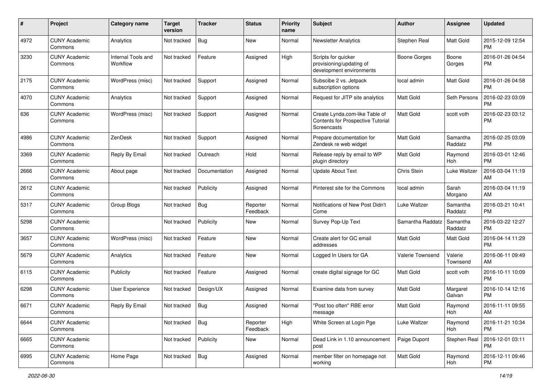| #    | Project                         | <b>Category name</b>           | <b>Target</b><br>version | Tracker       | <b>Status</b>        | <b>Priority</b><br>name | <b>Subject</b>                                                                     | Author              | <b>Assignee</b>     | <b>Updated</b>                |
|------|---------------------------------|--------------------------------|--------------------------|---------------|----------------------|-------------------------|------------------------------------------------------------------------------------|---------------------|---------------------|-------------------------------|
| 4972 | <b>CUNY Academic</b><br>Commons | Analytics                      | Not tracked              | <b>Bug</b>    | <b>New</b>           | Normal                  | <b>Newsletter Analytics</b>                                                        | Stephen Real        | Matt Gold           | 2015-12-09 12:54<br>PM.       |
| 3230 | <b>CUNY Academic</b><br>Commons | Internal Tools and<br>Workflow | Not tracked              | Feature       | Assigned             | High                    | Scripts for quicker<br>provisioning/updating of<br>development environments        | <b>Boone Gorges</b> | Boone<br>Gorges     | 2016-01-26 04:54<br><b>PM</b> |
| 2175 | <b>CUNY Academic</b><br>Commons | WordPress (misc)               | Not tracked              | Support       | Assigned             | Normal                  | Subscibe 2 vs. Jetpack<br>subscription options                                     | local admin         | Matt Gold           | 2016-01-26 04:58<br><b>PM</b> |
| 4070 | <b>CUNY Academic</b><br>Commons | Analytics                      | Not tracked              | Support       | Assigned             | Normal                  | Request for JITP site analytics                                                    | Matt Gold           | Seth Persons        | 2016-02-23 03:09<br><b>PM</b> |
| 636  | <b>CUNY Academic</b><br>Commons | WordPress (misc)               | Not tracked              | Support       | Assigned             | Normal                  | Create Lynda.com-like Table of<br>Contents for Prospective Tutorial<br>Screencasts | <b>Matt Gold</b>    | scott voth          | 2016-02-23 03:12<br>PM        |
| 4986 | <b>CUNY Academic</b><br>Commons | ZenDesk                        | Not tracked              | Support       | Assigned             | Normal                  | Prepare documentation for<br>Zendesk re web widget                                 | <b>Matt Gold</b>    | Samantha<br>Raddatz | 2016-02-25 03:09<br><b>PM</b> |
| 3369 | <b>CUNY Academic</b><br>Commons | Reply By Email                 | Not tracked              | Outreach      | Hold                 | Normal                  | Release reply by email to WP<br>plugin directory                                   | <b>Matt Gold</b>    | Raymond<br>Hoh      | 2016-03-01 12:46<br><b>PM</b> |
| 2666 | <b>CUNY Academic</b><br>Commons | About page                     | Not tracked              | Documentation | Assigned             | Normal                  | <b>Update About Text</b>                                                           | Chris Stein         | Luke Waltzer        | 2016-03-04 11:19<br>AM        |
| 2612 | <b>CUNY Academic</b><br>Commons |                                | Not tracked              | Publicity     | Assigned             | Normal                  | Pinterest site for the Commons                                                     | local admin         | Sarah<br>Morgano    | 2016-03-04 11:19<br>AM        |
| 5317 | <b>CUNY Academic</b><br>Commons | Group Blogs                    | Not tracked              | <b>Bug</b>    | Reporter<br>Feedback | Normal                  | Notifications of New Post Didn't<br>Come                                           | Luke Waltzer        | Samantha<br>Raddatz | 2016-03-21 10:41<br><b>PM</b> |
| 5298 | <b>CUNY Academic</b><br>Commons |                                | Not tracked              | Publicity     | New                  | Normal                  | Survey Pop-Up Text                                                                 | Samantha Raddatz    | Samantha<br>Raddatz | 2016-03-22 12:27<br><b>PM</b> |
| 3657 | <b>CUNY Academic</b><br>Commons | WordPress (misc)               | Not tracked              | Feature       | <b>New</b>           | Normal                  | Create alert for GC email<br>addresses                                             | Matt Gold           | Matt Gold           | 2016-04-14 11:29<br><b>PM</b> |
| 5679 | <b>CUNY Academic</b><br>Commons | Analytics                      | Not tracked              | Feature       | <b>New</b>           | Normal                  | Logged In Users for GA                                                             | Valerie Townsend    | Valerie<br>Townsend | 2016-06-11 09:49<br>AM        |
| 6115 | <b>CUNY Academic</b><br>Commons | Publicity                      | Not tracked              | Feature       | Assigned             | Normal                  | create digital signage for GC                                                      | <b>Matt Gold</b>    | scott voth          | 2016-10-11 10:09<br><b>PM</b> |
| 6298 | <b>CUNY Academic</b><br>Commons | User Experience                | Not tracked              | Design/UX     | Assigned             | Normal                  | Examine data from survey                                                           | Matt Gold           | Margaret<br>Galvan  | 2016-10-14 12:16<br><b>PM</b> |
| 6671 | <b>CUNY Academic</b><br>Commons | Reply By Email                 | Not tracked              | Bug           | Assigned             | Normal                  | 'Post too often" RBE error<br>message                                              | Matt Gold           | Raymond<br>Hoh      | 2016-11-11 09:55<br>AM        |
| 6644 | <b>CUNY Academic</b><br>Commons |                                | Not tracked              | <b>Bug</b>    | Reporter<br>Feedback | High                    | White Screen at Login Pge                                                          | Luke Waltzer        | Raymond<br>Hoh      | 2016-11-21 10:34<br><b>PM</b> |
| 6665 | <b>CUNY Academic</b><br>Commons |                                | Not tracked              | Publicity     | New                  | Normal                  | Dead Link in 1.10 announcement<br>post                                             | Paige Dupont        | Stephen Real        | 2016-12-01 03:11<br>PM        |
| 6995 | <b>CUNY Academic</b><br>Commons | Home Page                      | Not tracked              | Bug           | Assigned             | Normal                  | member filter on homepage not<br>working                                           | Matt Gold           | Raymond<br>Hoh      | 2016-12-11 09:46<br><b>PM</b> |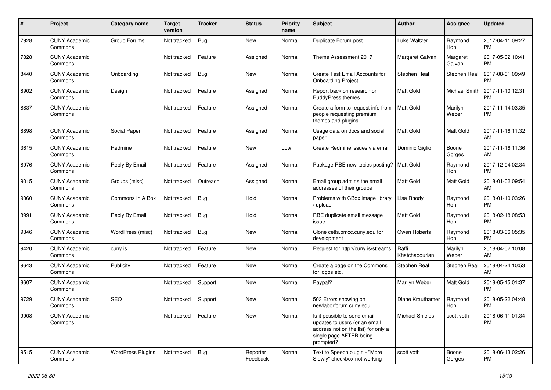| #    | Project                         | Category name            | <b>Target</b><br>version | Tracker    | <b>Status</b>        | <b>Priority</b><br>name | <b>Subject</b>                                                                                                                               | Author                  | Assignee             | <b>Updated</b>                |
|------|---------------------------------|--------------------------|--------------------------|------------|----------------------|-------------------------|----------------------------------------------------------------------------------------------------------------------------------------------|-------------------------|----------------------|-------------------------------|
| 7928 | <b>CUNY Academic</b><br>Commons | Group Forums             | Not tracked              | <b>Bug</b> | <b>New</b>           | Normal                  | Duplicate Forum post                                                                                                                         | Luke Waltzer            | Raymond<br>Hoh       | 2017-04-11 09:27<br><b>PM</b> |
| 7828 | <b>CUNY Academic</b><br>Commons |                          | Not tracked              | Feature    | Assigned             | Normal                  | Theme Assessment 2017                                                                                                                        | Margaret Galvan         | Margaret<br>Galvan   | 2017-05-02 10:41<br><b>PM</b> |
| 8440 | <b>CUNY Academic</b><br>Commons | Onboarding               | Not tracked              | <b>Bug</b> | <b>New</b>           | Normal                  | Create Test Email Accounts for<br><b>Onboarding Project</b>                                                                                  | Stephen Real            | Stephen Real         | 2017-08-01 09:49<br><b>PM</b> |
| 8902 | <b>CUNY Academic</b><br>Commons | Design                   | Not tracked              | Feature    | Assigned             | Normal                  | Report back on research on<br><b>BuddyPress themes</b>                                                                                       | <b>Matt Gold</b>        | <b>Michael Smith</b> | 2017-11-10 12:31<br><b>PM</b> |
| 8837 | <b>CUNY Academic</b><br>Commons |                          | Not tracked              | Feature    | Assigned             | Normal                  | Create a form to request info from<br>people requesting premium<br>themes and plugins                                                        | l Matt Gold             | Marilyn<br>Weber     | 2017-11-14 03:35<br><b>PM</b> |
| 8898 | <b>CUNY Academic</b><br>Commons | Social Paper             | Not tracked              | Feature    | Assigned             | Normal                  | Usage data on docs and social<br>paper                                                                                                       | <b>Matt Gold</b>        | Matt Gold            | 2017-11-16 11:32<br>AM        |
| 3615 | <b>CUNY Academic</b><br>Commons | Redmine                  | Not tracked              | Feature    | <b>New</b>           | Low                     | Create Redmine issues via email                                                                                                              | Dominic Giglio          | Boone<br>Gorges      | 2017-11-16 11:36<br>AM        |
| 8976 | <b>CUNY Academic</b><br>Commons | Reply By Email           | Not tracked              | Feature    | Assigned             | Normal                  | Package RBE new topics posting?                                                                                                              | Matt Gold               | Raymond<br>Hoh       | 2017-12-04 02:34<br><b>PM</b> |
| 9015 | <b>CUNY Academic</b><br>Commons | Groups (misc)            | Not tracked              | Outreach   | Assigned             | Normal                  | Email group admins the email<br>addresses of their groups                                                                                    | <b>Matt Gold</b>        | Matt Gold            | 2018-01-02 09:54<br>AM        |
| 9060 | <b>CUNY Academic</b><br>Commons | Commons In A Box         | Not tracked              | <b>Bug</b> | Hold                 | Normal                  | Problems with CBox image library<br>/ upload                                                                                                 | Lisa Rhody              | Raymond<br>Hoh       | 2018-01-10 03:26<br><b>PM</b> |
| 8991 | <b>CUNY Academic</b><br>Commons | Reply By Email           | Not tracked              | <b>Bug</b> | Hold                 | Normal                  | RBE duplicate email message<br>issue                                                                                                         | Matt Gold               | Raymond<br>Hoh       | 2018-02-18 08:53<br><b>PM</b> |
| 9346 | <b>CUNY Academic</b><br>Commons | WordPress (misc)         | Not tracked              | Bug        | <b>New</b>           | Normal                  | Clone cetls.bmcc.cuny.edu for<br>development                                                                                                 | Owen Roberts            | Raymond<br>Hoh       | 2018-03-06 05:35<br><b>PM</b> |
| 9420 | <b>CUNY Academic</b><br>Commons | cuny.is                  | Not tracked              | Feature    | <b>New</b>           | Normal                  | Request for http://cuny.is/streams                                                                                                           | Raffi<br>Khatchadourian | Marilyn<br>Weber     | 2018-04-02 10:08<br>AM        |
| 9643 | <b>CUNY Academic</b><br>Commons | Publicity                | Not tracked              | Feature    | New                  | Normal                  | Create a page on the Commons<br>for logos etc.                                                                                               | Stephen Real            | Stephen Real         | 2018-04-24 10:53<br>AM        |
| 8607 | <b>CUNY Academic</b><br>Commons |                          | Not tracked              | Support    | <b>New</b>           | Normal                  | Paypal?                                                                                                                                      | Marilyn Weber           | Matt Gold            | 2018-05-15 01:37<br><b>PM</b> |
| 9729 | <b>CUNY Academic</b><br>Commons | <b>SEO</b>               | Not tracked              | Support    | <b>New</b>           | Normal                  | 503 Errors showing on<br>newlaborforum.cuny.edu                                                                                              | Diane Krauthamer        | Raymond<br>Hoh       | 2018-05-22 04:48<br><b>PM</b> |
| 9908 | <b>CUNY Academic</b><br>Commons |                          | Not tracked              | Feature    | New                  | Normal                  | Is it possible to send email<br>updates to users (or an email<br>address not on the list) for only a<br>single page AFTER being<br>prompted? | Michael Shields         | scott voth           | 2018-06-11 01:34<br><b>PM</b> |
| 9515 | <b>CUNY Academic</b><br>Commons | <b>WordPress Plugins</b> | Not tracked              | Bug        | Reporter<br>Feedback | Normal                  | Text to Speech plugin - "More<br>Slowly" checkbox not working                                                                                | scott voth              | Boone<br>Gorges      | 2018-06-13 02:26<br><b>PM</b> |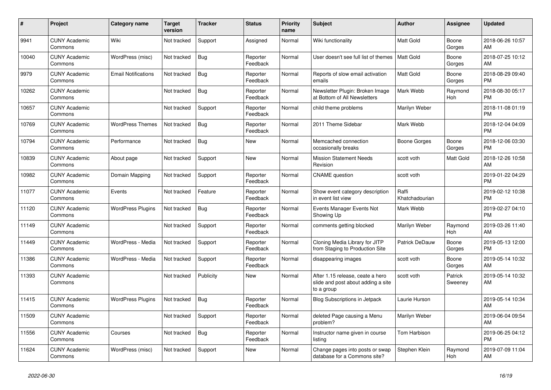| #     | <b>Project</b>                  | Category name              | <b>Target</b><br>version | <b>Tracker</b> | <b>Status</b>        | Priority<br>name | <b>Subject</b>                                                                       | <b>Author</b>           | Assignee           | <b>Updated</b>                |
|-------|---------------------------------|----------------------------|--------------------------|----------------|----------------------|------------------|--------------------------------------------------------------------------------------|-------------------------|--------------------|-------------------------------|
| 9941  | <b>CUNY Academic</b><br>Commons | Wiki                       | Not tracked              | Support        | Assigned             | Normal           | Wiki functionality                                                                   | <b>Matt Gold</b>        | Boone<br>Gorges    | 2018-06-26 10:57<br>AM        |
| 10040 | <b>CUNY Academic</b><br>Commons | WordPress (misc)           | Not tracked              | <b>Bug</b>     | Reporter<br>Feedback | Normal           | User doesn't see full list of themes                                                 | <b>Matt Gold</b>        | Boone<br>Gorges    | 2018-07-25 10:12<br>AM        |
| 9979  | <b>CUNY Academic</b><br>Commons | <b>Email Notifications</b> | Not tracked              | <b>Bug</b>     | Reporter<br>Feedback | Normal           | Reports of slow email activation<br>emails                                           | <b>Matt Gold</b>        | Boone<br>Gorges    | 2018-08-29 09:40<br><b>PM</b> |
| 10262 | <b>CUNY Academic</b><br>Commons |                            | Not tracked              | Bug            | Reporter<br>Feedback | Normal           | Newsletter Plugin: Broken Image<br>at Bottom of All Newsletters                      | Mark Webb               | Raymond<br>Hoh     | 2018-08-30 05:17<br><b>PM</b> |
| 10657 | <b>CUNY Academic</b><br>Commons |                            | Not tracked              | Support        | Reporter<br>Feedback | Normal           | child theme problems                                                                 | Marilyn Weber           |                    | 2018-11-08 01:19<br><b>PM</b> |
| 10769 | <b>CUNY Academic</b><br>Commons | <b>WordPress Themes</b>    | Not tracked              | Bug            | Reporter<br>Feedback | Normal           | 2011 Theme Sidebar                                                                   | Mark Webb               |                    | 2018-12-04 04:09<br><b>PM</b> |
| 10794 | <b>CUNY Academic</b><br>Commons | Performance                | Not tracked              | Bug            | New                  | Normal           | Memcached connection<br>occasionally breaks                                          | Boone Gorges            | Boone<br>Gorges    | 2018-12-06 03:30<br><b>PM</b> |
| 10839 | <b>CUNY Academic</b><br>Commons | About page                 | Not tracked              | Support        | <b>New</b>           | Normal           | <b>Mission Statement Needs</b><br>Revision                                           | scott voth              | Matt Gold          | 2018-12-26 10:58<br>AM        |
| 10982 | <b>CUNY Academic</b><br>Commons | Domain Mapping             | Not tracked              | Support        | Reporter<br>Feedback | Normal           | <b>CNAME</b> question                                                                | scott voth              |                    | 2019-01-22 04:29<br><b>PM</b> |
| 11077 | <b>CUNY Academic</b><br>Commons | Events                     | Not tracked              | Feature        | Reporter<br>Feedback | Normal           | Show event category description<br>in event list view                                | Raffi<br>Khatchadourian |                    | 2019-02-12 10:38<br><b>PM</b> |
| 11120 | <b>CUNY Academic</b><br>Commons | <b>WordPress Plugins</b>   | Not tracked              | <b>Bug</b>     | Reporter<br>Feedback | Normal           | Events Manager Events Not<br>Showing Up                                              | Mark Webb               |                    | 2019-02-27 04:10<br><b>PM</b> |
| 11149 | <b>CUNY Academic</b><br>Commons |                            | Not tracked              | Support        | Reporter<br>Feedback | Normal           | comments getting blocked                                                             | Marilyn Weber           | Raymond<br>Hoh     | 2019-03-26 11:40<br>AM        |
| 11449 | <b>CUNY Academic</b><br>Commons | WordPress - Media          | Not tracked              | Support        | Reporter<br>Feedback | Normal           | Cloning Media Library for JITP<br>from Staging to Production Site                    | <b>Patrick DeDauw</b>   | Boone<br>Gorges    | 2019-05-13 12:00<br><b>PM</b> |
| 11386 | <b>CUNY Academic</b><br>Commons | WordPress - Media          | Not tracked              | Support        | Reporter<br>Feedback | Normal           | disappearing images                                                                  | scott voth              | Boone<br>Gorges    | 2019-05-14 10:32<br>AM        |
| 11393 | <b>CUNY Academic</b><br>Commons |                            | Not tracked              | Publicity      | <b>New</b>           | Normal           | After 1.15 release, ceate a hero<br>slide and post about adding a site<br>to a group | scott voth              | Patrick<br>Sweeney | 2019-05-14 10:32<br>AM        |
| 11415 | <b>CUNY Academic</b><br>Commons | <b>WordPress Plugins</b>   | Not tracked              | Bug            | Reporter<br>Feedback | Normal           | Blog Subscriptions in Jetpack                                                        | Laurie Hurson           |                    | 2019-05-14 10:34<br>AM        |
| 11509 | <b>CUNY Academic</b><br>Commons |                            | Not tracked              | Support        | Reporter<br>Feedback | Normal           | deleted Page causing a Menu<br>problem?                                              | Marilyn Weber           |                    | 2019-06-04 09:54<br>AM        |
| 11556 | <b>CUNY Academic</b><br>Commons | Courses                    | Not tracked              | <b>Bug</b>     | Reporter<br>Feedback | Normal           | Instructor name given in course<br>listing                                           | Tom Harbison            |                    | 2019-06-25 04:12<br><b>PM</b> |
| 11624 | <b>CUNY Academic</b><br>Commons | WordPress (misc)           | Not tracked              | Support        | <b>New</b>           | Normal           | Change pages into posts or swap<br>database for a Commons site?                      | Stephen Klein           | Raymond<br>Hoh     | 2019-07-09 11:04<br>AM        |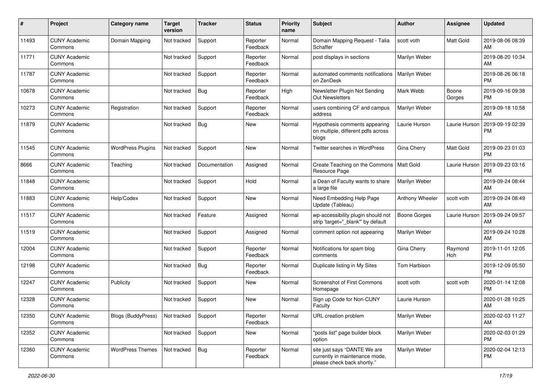| #     | Project                         | <b>Category name</b>      | <b>Target</b><br>version | <b>Tracker</b> | <b>Status</b>        | Priority<br>name | <b>Subject</b>                                                                                | <b>Author</b>    | <b>Assignee</b> | <b>Updated</b>                |
|-------|---------------------------------|---------------------------|--------------------------|----------------|----------------------|------------------|-----------------------------------------------------------------------------------------------|------------------|-----------------|-------------------------------|
| 11493 | <b>CUNY Academic</b><br>Commons | Domain Mapping            | Not tracked              | Support        | Reporter<br>Feedback | Normal           | Domain Mapping Request - Talia<br>Schaffer                                                    | scott voth       | Matt Gold       | 2019-08-06 08:39<br>AM        |
| 11771 | <b>CUNY Academic</b><br>Commons |                           | Not tracked              | Support        | Reporter<br>Feedback | Normal           | post displays in sections                                                                     | Marilyn Weber    |                 | 2019-08-20 10:34<br>AM        |
| 11787 | <b>CUNY Academic</b><br>Commons |                           | Not tracked              | Support        | Reporter<br>Feedback | Normal           | automated comments notifications<br>on ZenDesk                                                | Marilyn Weber    |                 | 2019-08-26 06:18<br><b>PM</b> |
| 10678 | <b>CUNY Academic</b><br>Commons |                           | Not tracked              | Bug            | Reporter<br>Feedback | High             | Newsletter Plugin Not Sending<br><b>Out Newsletters</b>                                       | Mark Webb        | Boone<br>Gorges | 2019-09-16 09:38<br><b>PM</b> |
| 10273 | <b>CUNY Academic</b><br>Commons | Registration              | Not tracked              | Support        | Reporter<br>Feedback | Normal           | users combining CF and campus<br>address                                                      | Marilyn Weber    |                 | 2019-09-18 10:58<br>AM        |
| 11879 | <b>CUNY Academic</b><br>Commons |                           | Not tracked              | <b>Bug</b>     | New                  | Normal           | Hypothesis comments appearing<br>on multiple, different pdfs across<br>blogs                  | Laurie Hurson    | Laurie Hurson   | 2019-09-19 02:39<br><b>PM</b> |
| 11545 | <b>CUNY Academic</b><br>Commons | <b>WordPress Plugins</b>  | Not tracked              | Support        | New                  | Normal           | Twitter searches in WordPress                                                                 | Gina Cherry      | Matt Gold       | 2019-09-23 01:03<br><b>PM</b> |
| 8666  | <b>CUNY Academic</b><br>Commons | Teaching                  | Not tracked              | Documentation  | Assigned             | Normal           | Create Teaching on the Commons<br>Resource Page                                               | <b>Matt Gold</b> | Laurie Hurson   | 2019-09-23 03:16<br><b>PM</b> |
| 11848 | <b>CUNY Academic</b><br>Commons |                           | Not tracked              | Support        | Hold                 | Normal           | a Dean of Faculty wants to share<br>a large file                                              | Marilyn Weber    |                 | 2019-09-24 08:44<br>AM.       |
| 11883 | <b>CUNY Academic</b><br>Commons | Help/Codex                | Not tracked              | Support        | <b>New</b>           | Normal           | Need Embedding Help Page<br>Update (Tableau)                                                  | Anthony Wheeler  | scott voth      | 2019-09-24 08:49<br>AM        |
| 11517 | <b>CUNY Academic</b><br>Commons |                           | Not tracked              | Feature        | Assigned             | Normal           | wp-accessibility plugin should not<br>strip 'target="_blank"' by default                      | Boone Gorges     | Laurie Hurson   | 2019-09-24 09:57<br>AM.       |
| 11519 | <b>CUNY Academic</b><br>Commons |                           | Not tracked              | Support        | Assigned             | Normal           | comment option not appearing                                                                  | Marilyn Weber    |                 | 2019-09-24 10:28<br>AM        |
| 12004 | <b>CUNY Academic</b><br>Commons |                           | Not tracked              | Support        | Reporter<br>Feedback | Normal           | Notifications for spam blog<br>comments                                                       | Gina Cherry      | Raymond<br>Hoh  | 2019-11-01 12:05<br><b>PM</b> |
| 12198 | <b>CUNY Academic</b><br>Commons |                           | Not tracked              | Bug            | Reporter<br>Feedback | Normal           | Duplicate listing in My Sites                                                                 | Tom Harbison     |                 | 2019-12-09 05:50<br><b>PM</b> |
| 12247 | <b>CUNY Academic</b><br>Commons | Publicity                 | Not tracked              | Support        | New                  | Normal           | Screenshot of First Commons<br>Homepage                                                       | scott voth       | scott voth      | 2020-01-14 12:08<br><b>PM</b> |
| 12328 | <b>CUNY Academic</b><br>Commons |                           | Not tracked              | Support        | New                  | Normal           | Sign up Code for Non-CUNY<br>Faculty                                                          | Laurie Hurson    |                 | 2020-01-28 10:25<br>AM        |
| 12350 | <b>CUNY Academic</b><br>Commons | <b>Blogs (BuddyPress)</b> | Not tracked              | Support        | Reporter<br>Feedback | Normal           | URL creation problem                                                                          | Marilyn Weber    |                 | 2020-02-03 11:27<br>AM        |
| 12352 | <b>CUNY Academic</b><br>Commons |                           | Not tracked              | Support        | New                  | Normal           | "posts list" page builder block<br>option                                                     | Marilyn Weber    |                 | 2020-02-03 01:29<br><b>PM</b> |
| 12360 | <b>CUNY Academic</b><br>Commons | <b>WordPress Themes</b>   | Not tracked              | Bug            | Reporter<br>Feedback | Normal           | site just says "DANTE We are<br>currently in maintenance mode,<br>please check back shortly." | Marilyn Weber    |                 | 2020-02-04 12:13<br><b>PM</b> |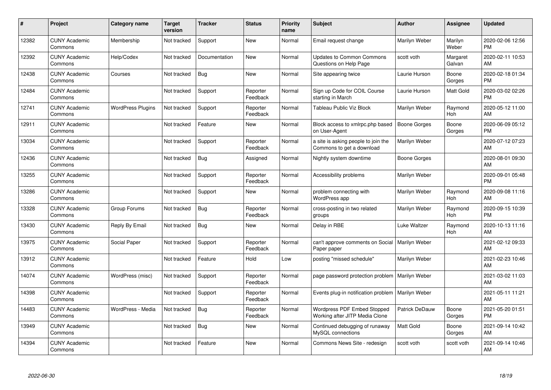| #     | Project                         | <b>Category name</b>     | <b>Target</b><br>version | <b>Tracker</b> | <b>Status</b>        | <b>Priority</b><br>name | <b>Subject</b>                                                   | <b>Author</b>       | <b>Assignee</b>    | <b>Updated</b>                |
|-------|---------------------------------|--------------------------|--------------------------|----------------|----------------------|-------------------------|------------------------------------------------------------------|---------------------|--------------------|-------------------------------|
| 12382 | <b>CUNY Academic</b><br>Commons | Membership               | Not tracked              | Support        | <b>New</b>           | Normal                  | Email request change                                             | Marilyn Weber       | Marilyn<br>Weber   | 2020-02-06 12:56<br><b>PM</b> |
| 12392 | <b>CUNY Academic</b><br>Commons | Help/Codex               | Not tracked              | Documentation  | New                  | Normal                  | <b>Updates to Common Commons</b><br>Questions on Help Page       | scott voth          | Margaret<br>Galvan | 2020-02-11 10:53<br>AM        |
| 12438 | <b>CUNY Academic</b><br>Commons | Courses                  | Not tracked              | Bug            | <b>New</b>           | Normal                  | Site appearing twice                                             | Laurie Hurson       | Boone<br>Gorges    | 2020-02-18 01:34<br><b>PM</b> |
| 12484 | <b>CUNY Academic</b><br>Commons |                          | Not tracked              | Support        | Reporter<br>Feedback | Normal                  | Sign up Code for COIL Course<br>starting in March                | Laurie Hurson       | Matt Gold          | 2020-03-02 02:26<br><b>PM</b> |
| 12741 | <b>CUNY Academic</b><br>Commons | <b>WordPress Plugins</b> | Not tracked              | Support        | Reporter<br>Feedback | Normal                  | Tableau Public Viz Block                                         | Marilyn Weber       | Raymond<br>Hoh     | 2020-05-12 11:00<br>AM        |
| 12911 | <b>CUNY Academic</b><br>Commons |                          | Not tracked              | Feature        | <b>New</b>           | Normal                  | Block access to xmlrpc.php based<br>on User-Agent                | <b>Boone Gorges</b> | Boone<br>Gorges    | 2020-06-09 05:12<br><b>PM</b> |
| 13034 | <b>CUNY Academic</b><br>Commons |                          | Not tracked              | Support        | Reporter<br>Feedback | Normal                  | a site is asking people to join the<br>Commons to get a download | Marilyn Weber       |                    | 2020-07-12 07:23<br>AM        |
| 12436 | <b>CUNY Academic</b><br>Commons |                          | Not tracked              | Bug            | Assigned             | Normal                  | Nightly system downtime                                          | Boone Gorges        |                    | 2020-08-01 09:30<br>AM        |
| 13255 | <b>CUNY Academic</b><br>Commons |                          | Not tracked              | Support        | Reporter<br>Feedback | Normal                  | Accessibility problems                                           | Marilyn Weber       |                    | 2020-09-01 05:48<br><b>PM</b> |
| 13286 | <b>CUNY Academic</b><br>Commons |                          | Not tracked              | Support        | <b>New</b>           | Normal                  | problem connecting with<br>WordPress app                         | Marilyn Weber       | Raymond<br>Hoh     | 2020-09-08 11:16<br>AM        |
| 13328 | <b>CUNY Academic</b><br>Commons | Group Forums             | Not tracked              | <b>Bug</b>     | Reporter<br>Feedback | Normal                  | cross-posting in two related<br>groups                           | Marilyn Weber       | Raymond<br>Hoh     | 2020-09-15 10:39<br><b>PM</b> |
| 13430 | <b>CUNY Academic</b><br>Commons | Reply By Email           | Not tracked              | <b>Bug</b>     | <b>New</b>           | Normal                  | Delay in RBE                                                     | Luke Waltzer        | Raymond<br>Hoh     | 2020-10-13 11:16<br>AM        |
| 13975 | <b>CUNY Academic</b><br>Commons | Social Paper             | Not tracked              | Support        | Reporter<br>Feedback | Normal                  | can't approve comments on Social<br>Paper paper                  | Marilyn Weber       |                    | 2021-02-12 09:33<br>AM        |
| 13912 | <b>CUNY Academic</b><br>Commons |                          | Not tracked              | Feature        | Hold                 | Low                     | posting "missed schedule"                                        | Marilyn Weber       |                    | 2021-02-23 10:46<br>AM        |
| 14074 | <b>CUNY Academic</b><br>Commons | WordPress (misc)         | Not tracked              | Support        | Reporter<br>Feedback | Normal                  | page password protection problem                                 | Marilyn Weber       |                    | 2021-03-02 11:03<br>AM        |
| 14398 | <b>CUNY Academic</b><br>Commons |                          | Not tracked              | Support        | Reporter<br>Feedback | Normal                  | Events plug-in notification problem                              | Marilyn Weber       |                    | 2021-05-11 11:21<br>AM        |
| 14483 | <b>CUNY Academic</b><br>Commons | WordPress - Media        | Not tracked              | Bug            | Reporter<br>Feedback | Normal                  | Wordpress PDF Embed Stopped<br>Working after JITP Media Clone    | Patrick DeDauw      | Boone<br>Gorges    | 2021-05-20 01:51<br><b>PM</b> |
| 13949 | <b>CUNY Academic</b><br>Commons |                          | Not tracked              | <b>Bug</b>     | New                  | Normal                  | Continued debugging of runaway<br>MySQL connections              | <b>Matt Gold</b>    | Boone<br>Gorges    | 2021-09-14 10:42<br>AM        |
| 14394 | <b>CUNY Academic</b><br>Commons |                          | Not tracked              | Feature        | <b>New</b>           | Normal                  | Commons News Site - redesign                                     | scott voth          | scott voth         | 2021-09-14 10:46<br>AM        |